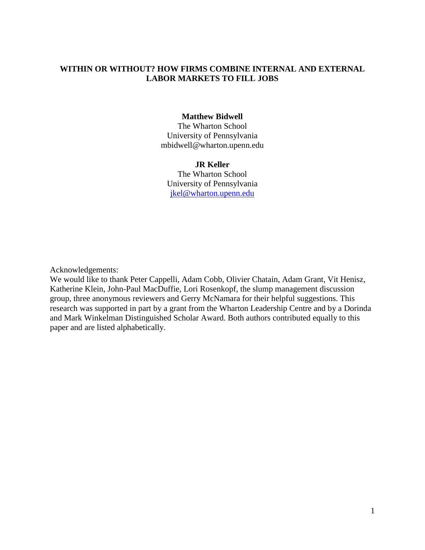# **WITHIN OR WITHOUT? HOW FIRMS COMBINE INTERNAL AND EXTERNAL LABOR MARKETS TO FILL JOBS**

## **Matthew Bidwell**

The Wharton School University of Pennsylvania mbidwell@wharton.upenn.edu

#### **JR Keller**

The Wharton School University of Pennsylvania [jkel@wharton.upenn.edu](mailto:jkel@wharton.upenn.edu)

Acknowledgements:

We would like to thank Peter Cappelli, Adam Cobb, Olivier Chatain, Adam Grant, Vit Henisz, Katherine Klein, John-Paul MacDuffie, Lori Rosenkopf, the slump management discussion group, three anonymous reviewers and Gerry McNamara for their helpful suggestions. This research was supported in part by a grant from the Wharton Leadership Centre and by a Dorinda and Mark Winkelman Distinguished Scholar Award. Both authors contributed equally to this paper and are listed alphabetically.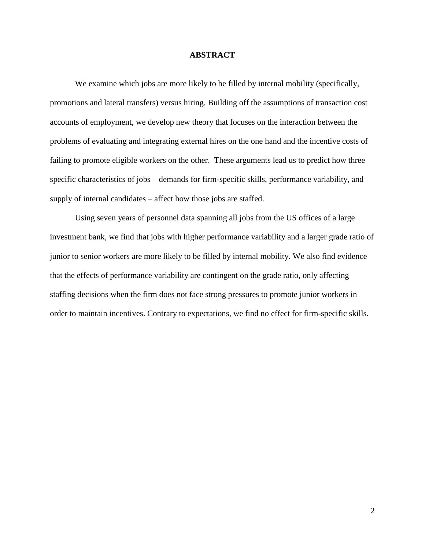#### **ABSTRACT**

We examine which jobs are more likely to be filled by internal mobility (specifically, promotions and lateral transfers) versus hiring. Building off the assumptions of transaction cost accounts of employment, we develop new theory that focuses on the interaction between the problems of evaluating and integrating external hires on the one hand and the incentive costs of failing to promote eligible workers on the other. These arguments lead us to predict how three specific characteristics of jobs – demands for firm-specific skills, performance variability, and supply of internal candidates – affect how those jobs are staffed.

Using seven years of personnel data spanning all jobs from the US offices of a large investment bank, we find that jobs with higher performance variability and a larger grade ratio of junior to senior workers are more likely to be filled by internal mobility. We also find evidence that the effects of performance variability are contingent on the grade ratio, only affecting staffing decisions when the firm does not face strong pressures to promote junior workers in order to maintain incentives. Contrary to expectations, we find no effect for firm-specific skills.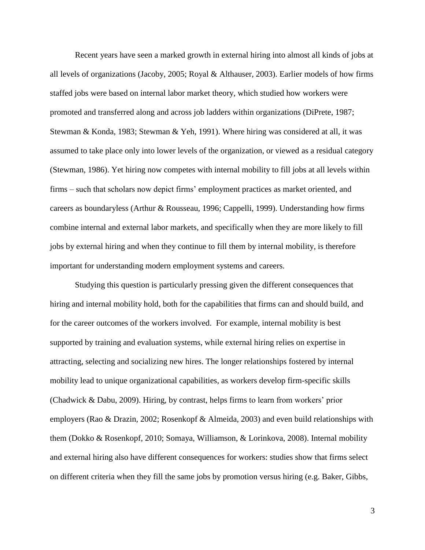Recent years have seen a marked growth in external hiring into almost all kinds of jobs at all levels of organizations [\(Jacoby, 2005;](#page-42-0) [Royal & Althauser, 2003\)](#page-42-1). Earlier models of how firms staffed jobs were based on internal labor market theory, which studied how workers were promoted and transferred along and across job ladders within organizations [\(DiPrete, 1987;](#page-41-0) [Stewman & Konda, 1983;](#page-43-0) [Stewman & Yeh, 1991\)](#page-43-1). Where hiring was considered at all, it was assumed to take place only into lower levels of the organization, or viewed as a residual category [\(Stewman, 1986\)](#page-43-2). Yet hiring now competes with internal mobility to fill jobs at all levels within firms – such that scholars now depict firms' employment practices as market oriented, and careers as boundaryless [\(Arthur & Rousseau, 1996;](#page-40-0) [Cappelli, 1999\)](#page-41-1). Understanding how firms combine internal and external labor markets, and specifically when they are more likely to fill jobs by external hiring and when they continue to fill them by internal mobility, is therefore important for understanding modern employment systems and careers.

Studying this question is particularly pressing given the different consequences that hiring and internal mobility hold, both for the capabilities that firms can and should build, and for the career outcomes of the workers involved. For example, internal mobility is best supported by training and evaluation systems, while external hiring relies on expertise in attracting, selecting and socializing new hires. The longer relationships fostered by internal mobility lead to unique organizational capabilities, as workers develop firm-specific skills [\(Chadwick & Dabu, 2009\)](#page-41-2). Hiring, by contrast, helps firms to learn from workers' prior employers (Rao & Drazin, 2002; Rosenkopf & Almeida, 2003) and even build relationships with them (Dokko & Rosenkopf, 2010; Somaya, Williamson, & Lorinkova, 2008). Internal mobility and external hiring also have different consequences for workers: studies show that firms select on different criteria when they fill the same jobs by promotion versus hiring (e.g. [Baker, Gibbs,](#page-40-1)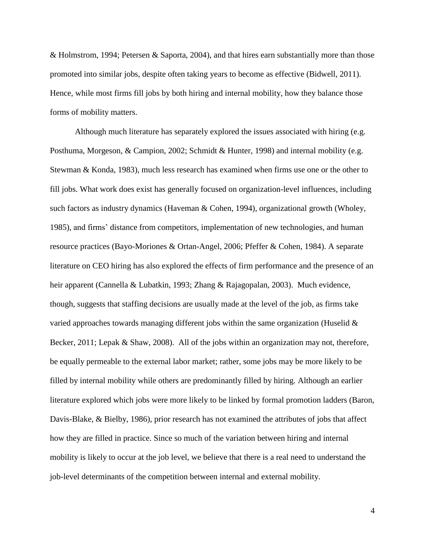[& Holmstrom, 1994;](#page-40-1) [Petersen & Saporta, 2004\)](#page-42-2), and that hires earn substantially more than those promoted into similar jobs, despite often taking years to become as effective [\(Bidwell, 2011\)](#page-40-2). Hence, while most firms fill jobs by both hiring and internal mobility, how they balance those forms of mobility matters.

Although much literature has separately explored the issues associated with hiring (e.g. [Posthuma, Morgeson, & Campion, 2002;](#page-42-3) [Schmidt & Hunter, 1998\)](#page-43-3) and internal mobility [\(e.g.](#page-43-0)  [Stewman & Konda, 1983\)](#page-43-0), much less research has examined when firms use one or the other to fill jobs. What work does exist has generally focused on organization-level influences, including such factors as industry dynamics (Haveman & Cohen, 1994), organizational growth (Wholey, 1985), and firms' distance from competitors, implementation of new technologies, and human resource practices [\(Bayo-Moriones & Ortan-Angel, 2006;](#page-40-3) [Pfeffer & Cohen, 1984\)](#page-42-4). A separate literature on CEO hiring has also explored the effects of firm performance and the presence of an heir apparent [\(Cannella & Lubatkin, 1993;](#page-40-4) [Zhang & Rajagopalan, 2003\)](#page-43-4). Much evidence, though, suggests that staffing decisions are usually made at the level of the job, as firms take varied approaches towards managing different jobs within the same organization [\(Huselid &](#page-41-3)  [Becker, 2011;](#page-41-3) [Lepak & Shaw, 2008\)](#page-42-5). All of the jobs within an organization may not, therefore, be equally permeable to the external labor market; rather, some jobs may be more likely to be filled by internal mobility while others are predominantly filled by hiring. Although an earlier literature explored which jobs were more likely to be linked by formal promotion ladders [\(Baron,](#page-40-5)  [Davis-Blake, & Bielby, 1986\)](#page-40-5), prior research has not examined the attributes of jobs that affect how they are filled in practice. Since so much of the variation between hiring and internal mobility is likely to occur at the job level, we believe that there is a real need to understand the job-level determinants of the competition between internal and external mobility.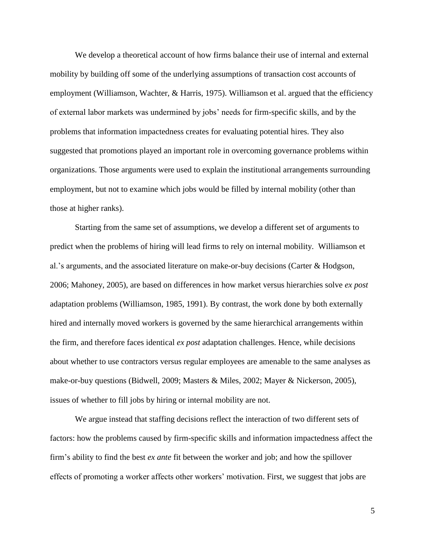We develop a theoretical account of how firms balance their use of internal and external mobility by building off some of the underlying assumptions of transaction cost accounts of employment [\(Williamson, Wachter, &](#page-43-5) Harris, 1975). Williamson et al. argued that the efficiency of external labor markets was undermined by jobs' needs for firm-specific skills, and by the problems that information impactedness creates for evaluating potential hires. They also suggested that promotions played an important role in overcoming governance problems within organizations. Those arguments were used to explain the institutional arrangements surrounding employment, but not to examine which jobs would be filled by internal mobility (other than those at higher ranks).

Starting from the same set of assumptions, we develop a different set of arguments to predict when the problems of hiring will lead firms to rely on internal mobility. Williamson et al.'s arguments, and the associated literature on make-or-buy decisions [\(Carter & Hodgson,](#page-41-4)  [2006;](#page-41-4) [Mahoney, 2005\)](#page-42-6), are based on differences in how market versus hierarchies solve *ex post* adaptation problems [\(Williamson, 1985,](#page-43-6) [1991\)](#page-43-7). By contrast, the work done by both externally hired and internally moved workers is governed by the same hierarchical arrangements within the firm, and therefore faces identical *ex post* adaptation challenges. Hence, while decisions about whether to use contractors versus regular employees are amenable to the same analyses as make-or-buy questions [\(Bidwell, 2009;](#page-40-6) [Masters & Miles, 2002;](#page-42-7) [Mayer & Nickerson, 2005\)](#page-42-8), issues of whether to fill jobs by hiring or internal mobility are not.

We argue instead that staffing decisions reflect the interaction of two different sets of factors: how the problems caused by firm-specific skills and information impactedness affect the firm's ability to find the best *ex ante* fit between the worker and job; and how the spillover effects of promoting a worker affects other workers' motivation. First, we suggest that jobs are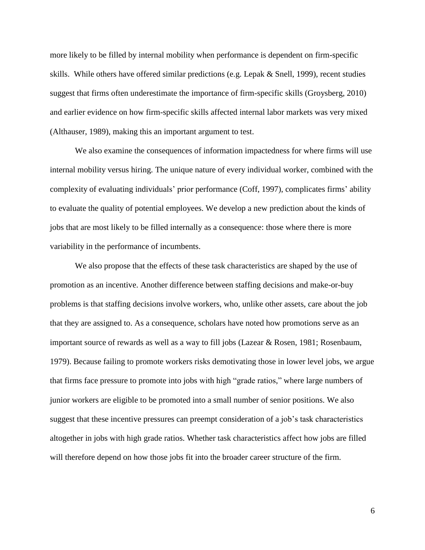more likely to be filled by internal mobility when performance is dependent on firm-specific skills. While others have offered similar predictions [\(e.g. Lepak & Snell, 1999\)](#page-42-9), recent studies suggest that firms often underestimate the importance of firm-specific skills [\(Groysberg, 2010\)](#page-41-5) and earlier evidence on how firm-specific skills affected internal labor markets was very mixed (Althauser, 1989), making this an important argument to test.

We also examine the consequences of information impactedness for where firms will use internal mobility versus hiring. The unique nature of every individual worker, combined with the complexity of evaluating individuals' prior performance [\(Coff, 1997\)](#page-41-6), complicates firms' ability to evaluate the quality of potential employees. We develop a new prediction about the kinds of jobs that are most likely to be filled internally as a consequence: those where there is more variability in the performance of incumbents.

We also propose that the effects of these task characteristics are shaped by the use of promotion as an incentive. Another difference between staffing decisions and make-or-buy problems is that staffing decisions involve workers, who, unlike other assets, care about the job that they are assigned to. As a consequence, scholars have noted how promotions serve as an important source of rewards as well as a way to fill jobs [\(Lazear & Rosen, 1981;](#page-42-10) [Rosenbaum,](#page-42-11)  [1979\)](#page-42-11). Because failing to promote workers risks demotivating those in lower level jobs, we argue that firms face pressure to promote into jobs with high "grade ratios," where large numbers of junior workers are eligible to be promoted into a small number of senior positions. We also suggest that these incentive pressures can preempt consideration of a job's task characteristics altogether in jobs with high grade ratios. Whether task characteristics affect how jobs are filled will therefore depend on how those jobs fit into the broader career structure of the firm.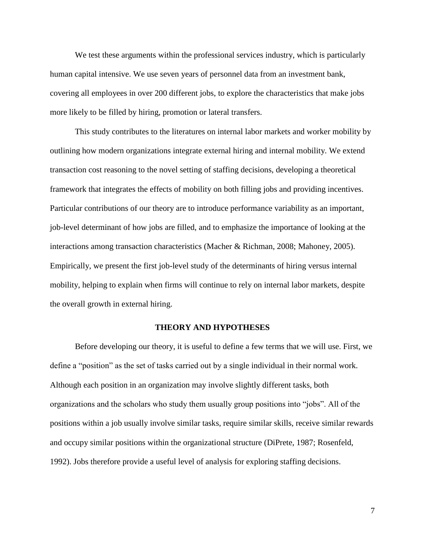We test these arguments within the professional services industry, which is particularly human capital intensive. We use seven years of personnel data from an investment bank, covering all employees in over 200 different jobs, to explore the characteristics that make jobs more likely to be filled by hiring, promotion or lateral transfers.

This study contributes to the literatures on internal labor markets and worker mobility by outlining how modern organizations integrate external hiring and internal mobility. We extend transaction cost reasoning to the novel setting of staffing decisions, developing a theoretical framework that integrates the effects of mobility on both filling jobs and providing incentives. Particular contributions of our theory are to introduce performance variability as an important, job-level determinant of how jobs are filled, and to emphasize the importance of looking at the interactions among transaction characteristics [\(Macher & Richman, 2008;](#page-42-12) [Mahoney, 2005\)](#page-42-6). Empirically, we present the first job-level study of the determinants of hiring versus internal mobility, helping to explain when firms will continue to rely on internal labor markets, despite the overall growth in external hiring.

#### **THEORY AND HYPOTHESES**

Before developing our theory, it is useful to define a few terms that we will use. First, we define a "position" as the set of tasks carried out by a single individual in their normal work. Although each position in an organization may involve slightly different tasks, both organizations and the scholars who study them usually group positions into "jobs". All of the positions within a job usually involve similar tasks, require similar skills, receive similar rewards and occupy similar positions within the organizational structure [\(DiPrete, 1987;](#page-41-0) [Rosenfeld,](#page-42-13)  [1992\)](#page-42-13). Jobs therefore provide a useful level of analysis for exploring staffing decisions.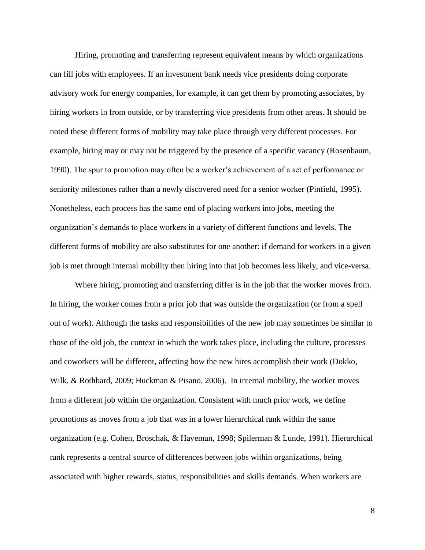Hiring, promoting and transferring represent equivalent means by which organizations can fill jobs with employees. If an investment bank needs vice presidents doing corporate advisory work for energy companies, for example, it can get them by promoting associates, by hiring workers in from outside, or by transferring vice presidents from other areas. It should be noted these different forms of mobility may take place through very different processes. For example, hiring may or may not be triggered by the presence of a specific vacancy [\(Rosenbaum,](#page-42-14)  [1990\)](#page-42-14). The spur to promotion may often be a worker's achievement of a set of performance or seniority milestones rather than a newly discovered need for a senior worker [\(Pinfield, 1995\)](#page-42-15). Nonetheless, each process has the same end of placing workers into jobs, meeting the organization's demands to place workers in a variety of different functions and levels. The different forms of mobility are also substitutes for one another: if demand for workers in a given job is met through internal mobility then hiring into that job becomes less likely, and vice-versa.

Where hiring, promoting and transferring differ is in the job that the worker moves from. In hiring, the worker comes from a prior job that was outside the organization (or from a spell out of work). Although the tasks and responsibilities of the new job may sometimes be similar to those of the old job, the context in which the work takes place, including the culture, processes and coworkers will be different, affecting how the new hires accomplish their work [\(Dokko,](#page-41-7)  [Wilk, & Rothbard, 2009;](#page-41-7) [Huckman & Pisano, 2006\)](#page-41-8). In internal mobility, the worker moves from a different job within the organization. Consistent with much prior work, we define promotions as moves from a job that was in a lower hierarchical rank within the same organization [\(e.g. Cohen, Broschak, & Haveman, 1998;](#page-41-9) [Spilerman & Lunde, 1991\)](#page-43-8). Hierarchical rank represents a central source of differences between jobs within organizations, being associated with higher rewards, status, responsibilities and skills demands. When workers are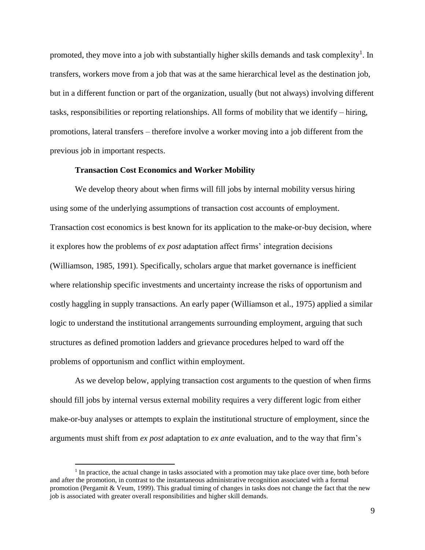promoted, they move into a job with substantially higher skills demands and task complexity<sup>1</sup>. In transfers, workers move from a job that was at the same hierarchical level as the destination job, but in a different function or part of the organization, usually (but not always) involving different tasks, responsibilities or reporting relationships. All forms of mobility that we identify – hiring, promotions, lateral transfers – therefore involve a worker moving into a job different from the previous job in important respects.

#### **Transaction Cost Economics and Worker Mobility**

We develop theory about when firms will fill jobs by internal mobility versus hiring using some of the underlying assumptions of transaction cost accounts of employment. Transaction cost economics is best known for its application to the make-or-buy decision, where it explores how the problems of *ex post* adaptation affect firms' integration decisions [\(Williamson, 1985,](#page-43-6) [1991\)](#page-43-7). Specifically, scholars argue that market governance is inefficient where relationship specific investments and uncertainty increase the risks of opportunism and costly haggling in supply transactions. An early paper [\(Williamson et al., 1975\)](#page-43-5) applied a similar logic to understand the institutional arrangements surrounding employment, arguing that such structures as defined promotion ladders and grievance procedures helped to ward off the problems of opportunism and conflict within employment.

As we develop below, applying transaction cost arguments to the question of when firms should fill jobs by internal versus external mobility requires a very different logic from either make-or-buy analyses or attempts to explain the institutional structure of employment, since the arguments must shift from *ex post* adaptation to *ex ante* evaluation, and to the way that firm's

 $\overline{a}$ 

<sup>&</sup>lt;sup>1</sup> In practice, the actual change in tasks associated with a promotion may take place over time, both before and after the promotion, in contrast to the instantaneous administrative recognition associated with a formal promotion (Pergamit & Veum, 1999). This gradual timing of changes in tasks does not change the fact that the new job is associated with greater overall responsibilities and higher skill demands.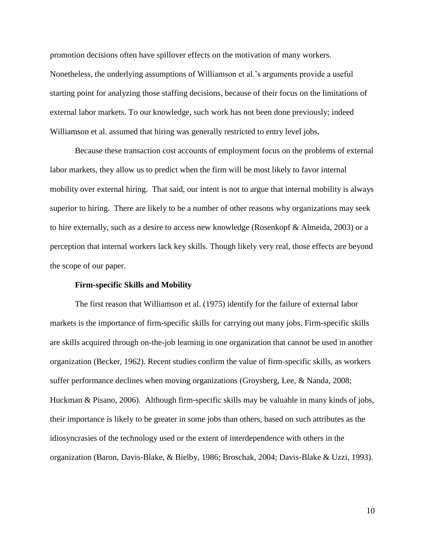promotion decisions often have spillover effects on the motivation of many workers. Nonetheless, the underlying assumptions of Williamson et al.'s arguments provide a useful starting point for analyzing those staffing decisions, because of their focus on the limitations of external labor markets. To our knowledge, such work has not been done previously; indeed Williamson et al. assumed that hiring was generally restricted to entry level jobs.

Because these transaction cost accounts of employment focus on the problems of external labor markets, they allow us to predict when the firm will be most likely to favor internal mobility over external hiring. That said, our intent is not to argue that internal mobility is always superior to hiring. There are likely to be a number of other reasons why organizations may seek to hire externally, such as a desire to access new knowledge [\(Rosenkopf & Almeida, 2003\)](#page-42-16) or a perception that internal workers lack key skills. Though likely very real, those effects are beyond the scope of our paper.

#### **Firm-specific Skills and Mobility**

The first reason that Williamson et al. [\(1975\)](#page-43-5) identify for the failure of external labor markets is the importance of firm-specific skills for carrying out many jobs. Firm-specific skills are skills acquired through on-the-job learning in one organization that cannot be used in another organization (Becker, 1962). Recent studies confirm the value of firm-specific skills, as workers suffer performance declines when moving organizations (Groysberg, Lee, & Nanda, 2008; Huckman & Pisano, 2006). Although firm-specific skills may be valuable in many kinds of jobs, their importance is likely to be greater in some jobs than others, based on such attributes as the idiosyncrasies of the technology used or the extent of interdependence with others in the organization (Baron, Davis-Blake, & Bielby, 1986; Broschak, 2004; Davis-Blake & Uzzi, 1993).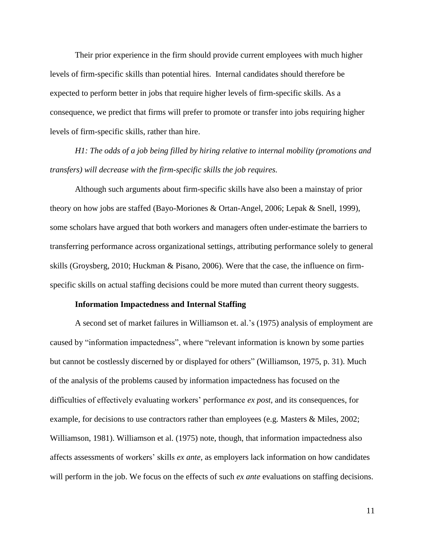Their prior experience in the firm should provide current employees with much higher levels of firm-specific skills than potential hires. Internal candidates should therefore be expected to perform better in jobs that require higher levels of firm-specific skills. As a consequence, we predict that firms will prefer to promote or transfer into jobs requiring higher levels of firm-specific skills, rather than hire.

*H1: The odds of a job being filled by hiring relative to internal mobility (promotions and transfers) will decrease with the firm-specific skills the job requires.*

Although such arguments about firm-specific skills have also been a mainstay of prior theory on how jobs are staffed [\(Bayo-Moriones & Ortan-Angel, 2006;](#page-40-3) [Lepak & Snell, 1999\)](#page-42-9), some scholars have argued that both workers and managers often under-estimate the barriers to transferring performance across organizational settings, attributing performance solely to general skills [\(Groysberg, 2010;](#page-41-5) [Huckman & Pisano, 2006\)](#page-41-8). Were that the case, the influence on firmspecific skills on actual staffing decisions could be more muted than current theory suggests.

#### **Information Impactedness and Internal Staffing**

A second set of market failures in Williamson et. al.'s [\(1975\)](#page-43-5) analysis of employment are caused by "information impactedness", where "relevant information is known by some parties but cannot be costlessly discerned by or displayed for others" (Williamson, 1975, p. 31). Much of the analysis of the problems caused by information impactedness has focused on the difficulties of effectively evaluating workers' performance *ex post,* and its consequences, for example, for decisions to use contractors rather than employees [\(e.g. Masters & Miles, 2002;](#page-42-7) [Williamson, 1981\)](#page-43-9). Williamson et al. (1975) note, though, that information impactedness also affects assessments of workers' skills *ex ante,* as employers lack information on how candidates will perform in the job. We focus on the effects of such *ex ante* evaluations on staffing decisions.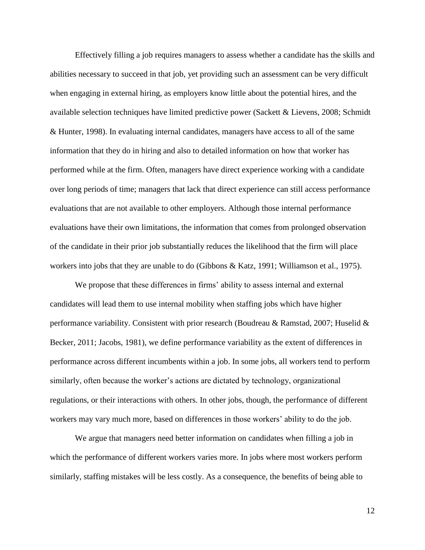Effectively filling a job requires managers to assess whether a candidate has the skills and abilities necessary to succeed in that job, yet providing such an assessment can be very difficult when engaging in external hiring, as employers know little about the potential hires, and the available selection techniques have limited predictive power [\(Sackett & Lievens, 2008;](#page-43-10) [Schmidt](#page-43-3)  [& Hunter, 1998\)](#page-43-3). In evaluating internal candidates, managers have access to all of the same information that they do in hiring and also to detailed information on how that worker has performed while at the firm. Often, managers have direct experience working with a candidate over long periods of time; managers that lack that direct experience can still access performance evaluations that are not available to other employers. Although those internal performance evaluations have their own limitations, the information that comes from prolonged observation of the candidate in their prior job substantially reduces the likelihood that the firm will place workers into jobs that they are unable to do [\(Gibbons & Katz, 1991;](#page-41-10) [Williamson et al., 1975\)](#page-43-5).

We propose that these differences in firms' ability to assess internal and external candidates will lead them to use internal mobility when staffing jobs which have higher performance variability. Consistent with prior research [\(Boudreau & Ramstad, 2007;](#page-40-7) [Huselid &](#page-41-3)  [Becker, 2011;](#page-41-3) [Jacobs, 1981\)](#page-41-11), we define performance variability as the extent of differences in performance across different incumbents within a job. In some jobs, all workers tend to perform similarly, often because the worker's actions are dictated by technology, organizational regulations, or their interactions with others. In other jobs, though, the performance of different workers may vary much more, based on differences in those workers' ability to do the job.

We argue that managers need better information on candidates when filling a job in which the performance of different workers varies more. In jobs where most workers perform similarly, staffing mistakes will be less costly. As a consequence, the benefits of being able to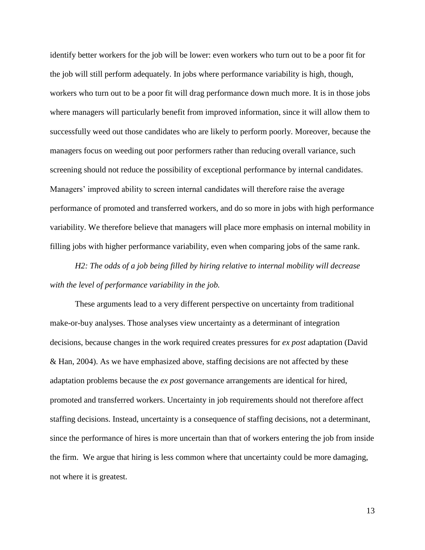identify better workers for the job will be lower: even workers who turn out to be a poor fit for the job will still perform adequately. In jobs where performance variability is high, though, workers who turn out to be a poor fit will drag performance down much more. It is in those jobs where managers will particularly benefit from improved information, since it will allow them to successfully weed out those candidates who are likely to perform poorly. Moreover, because the managers focus on weeding out poor performers rather than reducing overall variance, such screening should not reduce the possibility of exceptional performance by internal candidates. Managers' improved ability to screen internal candidates will therefore raise the average performance of promoted and transferred workers, and do so more in jobs with high performance variability. We therefore believe that managers will place more emphasis on internal mobility in filling jobs with higher performance variability, even when comparing jobs of the same rank.

*H2: The odds of a job being filled by hiring relative to internal mobility will decrease with the level of performance variability in the job.*

These arguments lead to a very different perspective on uncertainty from traditional make-or-buy analyses. Those analyses view uncertainty as a determinant of integration decisions, because changes in the work required creates pressures for *ex post* adaptation [\(David](#page-41-12)  [& Han, 2004\)](#page-41-12). As we have emphasized above, staffing decisions are not affected by these adaptation problems because the *ex post* governance arrangements are identical for hired, promoted and transferred workers. Uncertainty in job requirements should not therefore affect staffing decisions. Instead, uncertainty is a consequence of staffing decisions, not a determinant, since the performance of hires is more uncertain than that of workers entering the job from inside the firm. We argue that hiring is less common where that uncertainty could be more damaging, not where it is greatest.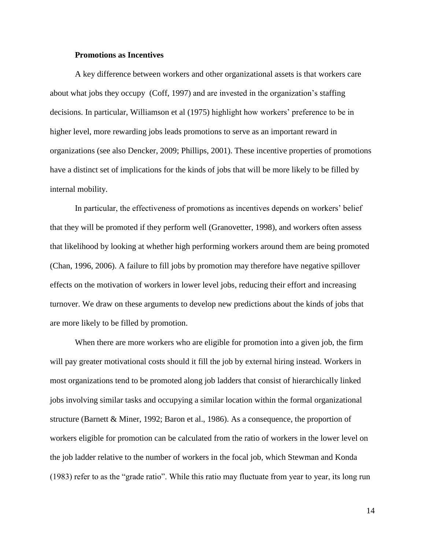#### **Promotions as Incentives**

A key difference between workers and other organizational assets is that workers care about what jobs they occupy [\(Coff, 1997\)](#page-41-6) and are invested in the organization's staffing decisions. In particular, Williamson et al [\(1975\)](#page-43-5) highlight how workers' preference to be in higher level, more rewarding jobs leads promotions to serve as an important reward in organizations (see also [Dencker, 2009;](#page-41-13) [Phillips, 2001\)](#page-42-17). These incentive properties of promotions have a distinct set of implications for the kinds of jobs that will be more likely to be filled by internal mobility.

In particular, the effectiveness of promotions as incentives depends on workers' belief that they will be promoted if they perform well (Granovetter, 1998), and workers often assess that likelihood by looking at whether high performing workers around them are being promoted [\(Chan, 1996,](#page-41-14) [2006\)](#page-41-15). A failure to fill jobs by promotion may therefore have negative spillover effects on the motivation of workers in lower level jobs, reducing their effort and increasing turnover. We draw on these arguments to develop new predictions about the kinds of jobs that are more likely to be filled by promotion.

When there are more workers who are eligible for promotion into a given job, the firm will pay greater motivational costs should it fill the job by external hiring instead. Workers in most organizations tend to be promoted along job ladders that consist of hierarchically linked jobs involving similar tasks and occupying a similar location within the formal organizational structure (Barnett & Miner, 1992; Baron et al., 1986). As a consequence, the proportion of workers eligible for promotion can be calculated from the ratio of workers in the lower level on the job ladder relative to the number of workers in the focal job, which Stewman and Konda (1983) refer to as the "grade ratio". While this ratio may fluctuate from year to year, its long run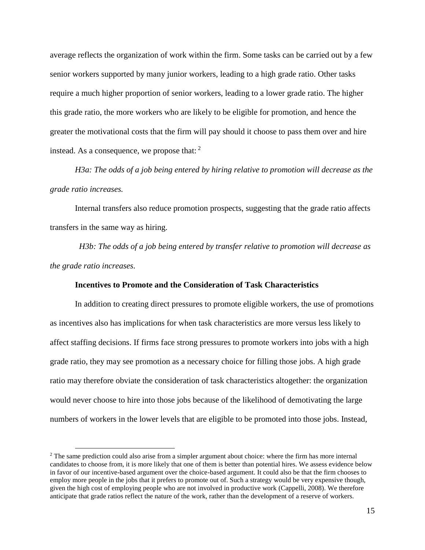average reflects the organization of work within the firm. Some tasks can be carried out by a few senior workers supported by many junior workers, leading to a high grade ratio. Other tasks require a much higher proportion of senior workers, leading to a lower grade ratio. The higher this grade ratio, the more workers who are likely to be eligible for promotion, and hence the greater the motivational costs that the firm will pay should it choose to pass them over and hire instead. As a consequence, we propose that:  $2^{\circ}$ 

*H3a: The odds of a job being entered by hiring relative to promotion will decrease as the grade ratio increases.*

Internal transfers also reduce promotion prospects, suggesting that the grade ratio affects transfers in the same way as hiring.

 *H3b: The odds of a job being entered by transfer relative to promotion will decrease as the grade ratio increases.*

### **Incentives to Promote and the Consideration of Task Characteristics**

In addition to creating direct pressures to promote eligible workers, the use of promotions as incentives also has implications for when task characteristics are more versus less likely to affect staffing decisions. If firms face strong pressures to promote workers into jobs with a high grade ratio, they may see promotion as a necessary choice for filling those jobs. A high grade ratio may therefore obviate the consideration of task characteristics altogether: the organization would never choose to hire into those jobs because of the likelihood of demotivating the large numbers of workers in the lower levels that are eligible to be promoted into those jobs. Instead,

 $\overline{a}$ 

<sup>&</sup>lt;sup>2</sup> The same prediction could also arise from a simpler argument about choice: where the firm has more internal candidates to choose from, it is more likely that one of them is better than potential hires. We assess evidence below in favor of our incentive-based argument over the choice-based argument. It could also be that the firm chooses to employ more people in the jobs that it prefers to promote out of. Such a strategy would be very expensive though, given the high cost of employing people who are not involved in productive work [\(Cappelli, 2008\)](#page-41-16). We therefore anticipate that grade ratios reflect the nature of the work, rather than the development of a reserve of workers.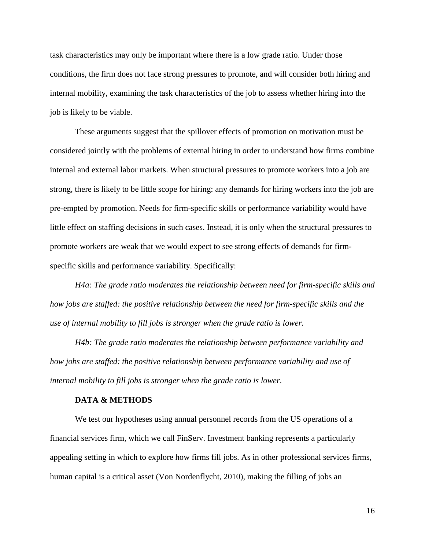task characteristics may only be important where there is a low grade ratio. Under those conditions, the firm does not face strong pressures to promote, and will consider both hiring and internal mobility, examining the task characteristics of the job to assess whether hiring into the job is likely to be viable.

These arguments suggest that the spillover effects of promotion on motivation must be considered jointly with the problems of external hiring in order to understand how firms combine internal and external labor markets. When structural pressures to promote workers into a job are strong, there is likely to be little scope for hiring: any demands for hiring workers into the job are pre-empted by promotion. Needs for firm-specific skills or performance variability would have little effect on staffing decisions in such cases. Instead, it is only when the structural pressures to promote workers are weak that we would expect to see strong effects of demands for firmspecific skills and performance variability. Specifically:

*H4a: The grade ratio moderates the relationship between need for firm-specific skills and how jobs are staffed: the positive relationship between the need for firm-specific skills and the use of internal mobility to fill jobs is stronger when the grade ratio is lower.*

*H4b: The grade ratio moderates the relationship between performance variability and how jobs are staffed: the positive relationship between performance variability and use of internal mobility to fill jobs is stronger when the grade ratio is lower.*

#### **DATA & METHODS**

We test our hypotheses using annual personnel records from the US operations of a financial services firm, which we call FinServ. Investment banking represents a particularly appealing setting in which to explore how firms fill jobs. As in other professional services firms, human capital is a critical asset [\(Von Nordenflycht, 2010\)](#page-43-11), making the filling of jobs an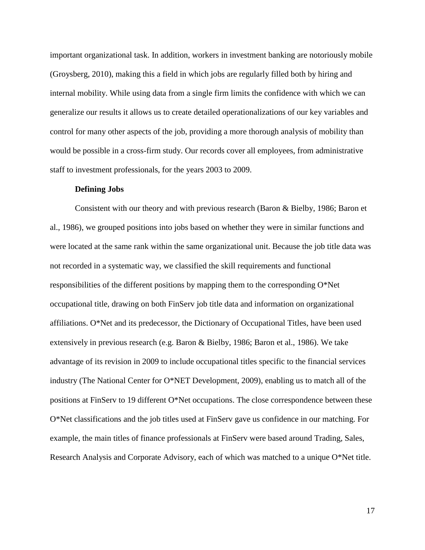important organizational task. In addition, workers in investment banking are notoriously mobile [\(Groysberg, 2010\)](#page-41-5), making this a field in which jobs are regularly filled both by hiring and internal mobility. While using data from a single firm limits the confidence with which we can generalize our results it allows us to create detailed operationalizations of our key variables and control for many other aspects of the job, providing a more thorough analysis of mobility than would be possible in a cross-firm study. Our records cover all employees, from administrative staff to investment professionals, for the years 2003 to 2009.

#### **Defining Jobs**

Consistent with our theory and with previous research (Baron & Bielby, 1986; Baron et al., 1986), we grouped positions into jobs based on whether they were in similar functions and were located at the same rank within the same organizational unit. Because the job title data was not recorded in a systematic way, we classified the skill requirements and functional responsibilities of the different positions by mapping them to the corresponding O\*Net occupational title, drawing on both FinServ job title data and information on organizational affiliations. O\*Net and its predecessor, the Dictionary of Occupational Titles, have been used extensively in previous research (e.g. Baron & Bielby, 1986; Baron et al., 1986). We take advantage of its revision in 2009 to include occupational titles specific to the financial services industry (The National Center for O\*NET Development, 2009), enabling us to match all of the positions at FinServ to 19 different O\*Net occupations. The close correspondence between these O\*Net classifications and the job titles used at FinServ gave us confidence in our matching. For example, the main titles of finance professionals at FinServ were based around Trading, Sales, Research Analysis and Corporate Advisory, each of which was matched to a unique O\*Net title.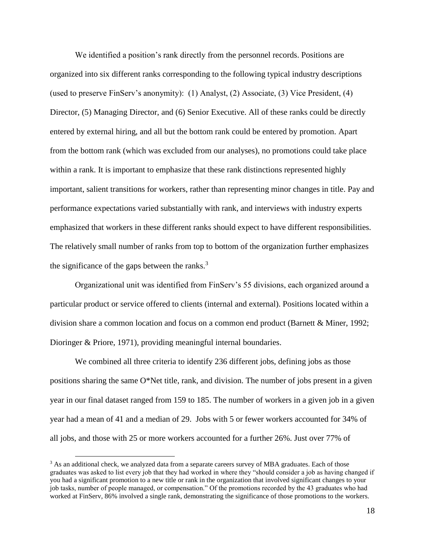We identified a position's rank directly from the personnel records. Positions are organized into six different ranks corresponding to the following typical industry descriptions (used to preserve FinServ's anonymity): (1) Analyst, (2) Associate, (3) Vice President, (4) Director, (5) Managing Director, and (6) Senior Executive. All of these ranks could be directly entered by external hiring, and all but the bottom rank could be entered by promotion. Apart from the bottom rank (which was excluded from our analyses), no promotions could take place within a rank. It is important to emphasize that these rank distinctions represented highly important, salient transitions for workers, rather than representing minor changes in title. Pay and performance expectations varied substantially with rank, and interviews with industry experts emphasized that workers in these different ranks should expect to have different responsibilities. The relatively small number of ranks from top to bottom of the organization further emphasizes the significance of the gaps between the ranks. $3$ 

Organizational unit was identified from FinServ's 55 divisions, each organized around a particular product or service offered to clients (internal and external). Positions located within a division share a common location and focus on a common end product (Barnett & Miner, 1992; Dioringer & Priore, 1971), providing meaningful internal boundaries.

We combined all three criteria to identify 236 different jobs, defining jobs as those positions sharing the same O\*Net title, rank, and division. The number of jobs present in a given year in our final dataset ranged from 159 to 185. The number of workers in a given job in a given year had a mean of 41 and a median of 29. Jobs with 5 or fewer workers accounted for 34% of all jobs, and those with 25 or more workers accounted for a further 26%. Just over 77% of

 $\overline{a}$ 

<sup>&</sup>lt;sup>3</sup> As an additional check, we analyzed data from a separate careers survey of MBA graduates. Each of those graduates was asked to list every job that they had worked in where they "should consider a job as having changed if you had a significant promotion to a new title or rank in the organization that involved significant changes to your job tasks, number of people managed, or compensation." Of the promotions recorded by the 43 graduates who had worked at FinServ, 86% involved a single rank, demonstrating the significance of those promotions to the workers.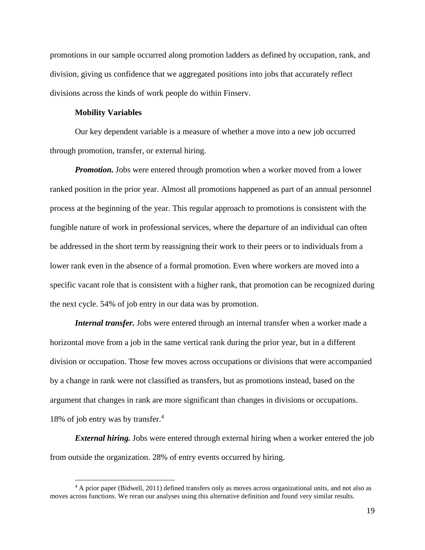promotions in our sample occurred along promotion ladders as defined by occupation, rank, and division, giving us confidence that we aggregated positions into jobs that accurately reflect divisions across the kinds of work people do within Finserv.

#### **Mobility Variables**

 $\overline{a}$ 

Our key dependent variable is a measure of whether a move into a new job occurred through promotion, transfer, or external hiring.

*Promotion.* Jobs were entered through promotion when a worker moved from a lower ranked position in the prior year. Almost all promotions happened as part of an annual personnel process at the beginning of the year. This regular approach to promotions is consistent with the fungible nature of work in professional services, where the departure of an individual can often be addressed in the short term by reassigning their work to their peers or to individuals from a lower rank even in the absence of a formal promotion. Even where workers are moved into a specific vacant role that is consistent with a higher rank, that promotion can be recognized during the next cycle. 54% of job entry in our data was by promotion.

*Internal transfer*. Jobs were entered through an internal transfer when a worker made a horizontal move from a job in the same vertical rank during the prior year, but in a different division or occupation. Those few moves across occupations or divisions that were accompanied by a change in rank were not classified as transfers, but as promotions instead, based on the argument that changes in rank are more significant than changes in divisions or occupations. 18% of job entry was by transfer.<sup>4</sup>

*External hiring.* Jobs were entered through external hiring when a worker entered the job from outside the organization. 28% of entry events occurred by hiring.

<sup>4</sup> A prior paper [\(Bidwell, 2011\)](#page-40-2) defined transfers only as moves across organizational units, and not also as moves across functions. We reran our analyses using this alternative definition and found very similar results.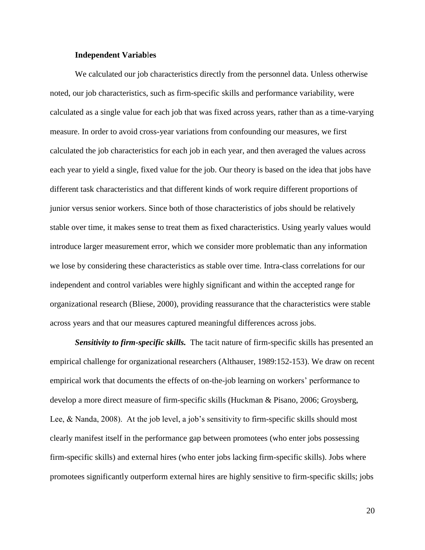#### **Independent Variab**l**es**

We calculated our job characteristics directly from the personnel data. Unless otherwise noted, our job characteristics, such as firm-specific skills and performance variability, were calculated as a single value for each job that was fixed across years, rather than as a time-varying measure. In order to avoid cross-year variations from confounding our measures, we first calculated the job characteristics for each job in each year, and then averaged the values across each year to yield a single, fixed value for the job. Our theory is based on the idea that jobs have different task characteristics and that different kinds of work require different proportions of junior versus senior workers. Since both of those characteristics of jobs should be relatively stable over time, it makes sense to treat them as fixed characteristics. Using yearly values would introduce larger measurement error, which we consider more problematic than any information we lose by considering these characteristics as stable over time. Intra-class correlations for our independent and control variables were highly significant and within the accepted range for organizational research [\(Bliese, 2000\)](#page-40-8), providing reassurance that the characteristics were stable across years and that our measures captured meaningful differences across jobs.

*Sensitivity to firm-specific skills.* The tacit nature of firm-specific skills has presented an empirical challenge for organizational researchers [\(Althauser, 1989:152-153\)](#page-40-9). We draw on recent empirical work that documents the effects of on-the-job learning on workers' performance to develop a more direct measure of firm-specific skills (Huckman & Pisano, 2006; Groysberg, Lee, & Nanda, 2008). At the job level, a job's sensitivity to firm-specific skills should most clearly manifest itself in the performance gap between promotees (who enter jobs possessing firm-specific skills) and external hires (who enter jobs lacking firm-specific skills). Jobs where promotees significantly outperform external hires are highly sensitive to firm-specific skills; jobs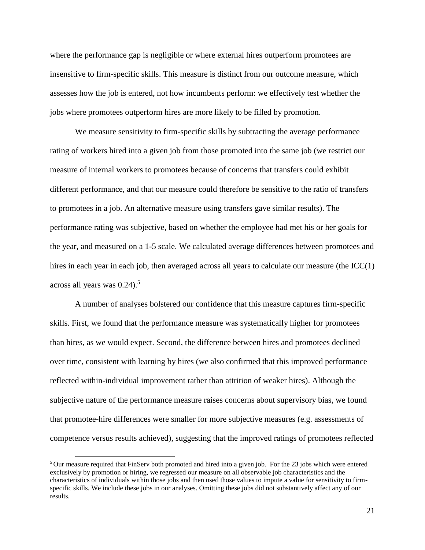where the performance gap is negligible or where external hires outperform promotees are insensitive to firm-specific skills. This measure is distinct from our outcome measure, which assesses how the job is entered, not how incumbents perform: we effectively test whether the jobs where promotees outperform hires are more likely to be filled by promotion.

We measure sensitivity to firm-specific skills by subtracting the average performance rating of workers hired into a given job from those promoted into the same job (we restrict our measure of internal workers to promotees because of concerns that transfers could exhibit different performance, and that our measure could therefore be sensitive to the ratio of transfers to promotees in a job. An alternative measure using transfers gave similar results). The performance rating was subjective, based on whether the employee had met his or her goals for the year, and measured on a 1-5 scale. We calculated average differences between promotees and hires in each year in each job, then averaged across all years to calculate our measure (the ICC(1) across all years was 0.24). 5

A number of analyses bolstered our confidence that this measure captures firm-specific skills. First, we found that the performance measure was systematically higher for promotees than hires, as we would expect. Second, the difference between hires and promotees declined over time, consistent with learning by hires (we also confirmed that this improved performance reflected within-individual improvement rather than attrition of weaker hires). Although the subjective nature of the performance measure raises concerns about supervisory bias, we found that promotee-hire differences were smaller for more subjective measures (e.g. assessments of competence versus results achieved), suggesting that the improved ratings of promotees reflected

 $\overline{a}$ 

<sup>5</sup> Our measure required that FinServ both promoted and hired into a given job. For the 23 jobs which were entered exclusively by promotion or hiring, we regressed our measure on all observable job characteristics and the characteristics of individuals within those jobs and then used those values to impute a value for sensitivity to firmspecific skills. We include these jobs in our analyses. Omitting these jobs did not substantively affect any of our results.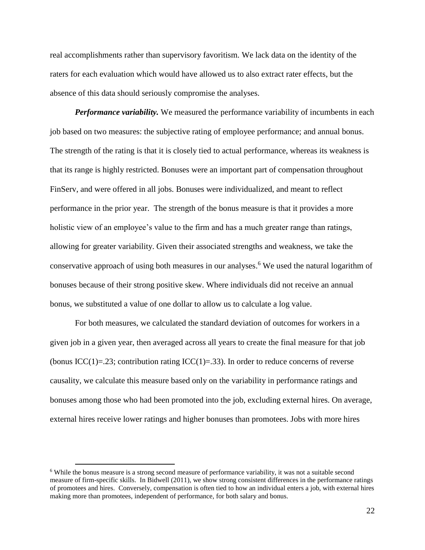real accomplishments rather than supervisory favoritism. We lack data on the identity of the raters for each evaluation which would have allowed us to also extract rater effects, but the absence of this data should seriously compromise the analyses.

*Performance variability.* We measured the performance variability of incumbents in each job based on two measures: the subjective rating of employee performance; and annual bonus. The strength of the rating is that it is closely tied to actual performance, whereas its weakness is that its range is highly restricted. Bonuses were an important part of compensation throughout FinServ, and were offered in all jobs. Bonuses were individualized, and meant to reflect performance in the prior year. The strength of the bonus measure is that it provides a more holistic view of an employee's value to the firm and has a much greater range than ratings, allowing for greater variability. Given their associated strengths and weakness, we take the conservative approach of using both measures in our analyses. <sup>6</sup> We used the natural logarithm of bonuses because of their strong positive skew. Where individuals did not receive an annual bonus, we substituted a value of one dollar to allow us to calculate a log value.

For both measures, we calculated the standard deviation of outcomes for workers in a given job in a given year, then averaged across all years to create the final measure for that job (bonus ICC(1)=.23; contribution rating ICC(1)=.33). In order to reduce concerns of reverse causality, we calculate this measure based only on the variability in performance ratings and bonuses among those who had been promoted into the job, excluding external hires. On average, external hires receive lower ratings and higher bonuses than promotees. Jobs with more hires

 $\overline{a}$ 

<sup>&</sup>lt;sup>6</sup> While the bonus measure is a strong second measure of performance variability, it was not a suitable second measure of firm-specific skills. In Bidwell (2011), we show strong consistent differences in the performance ratings of promotees and hires. Conversely, compensation is often tied to how an individual enters a job, with external hires making more than promotees, independent of performance, for both salary and bonus.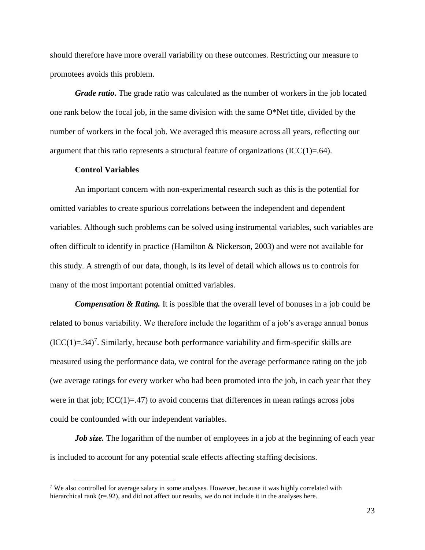should therefore have more overall variability on these outcomes. Restricting our measure to promotees avoids this problem.

*Grade ratio.* The grade ratio was calculated as the number of workers in the job located one rank below the focal job, in the same division with the same O\*Net title, divided by the number of workers in the focal job. We averaged this measure across all years, reflecting our argument that this ratio represents a structural feature of organizations  $(ICC(1)=.64)$ .

## **Contro**l **Variables**

 $\overline{a}$ 

An important concern with non-experimental research such as this is the potential for omitted variables to create spurious correlations between the independent and dependent variables. Although such problems can be solved using instrumental variables, such variables are often difficult to identify in practice [\(Hamilton & Nickerson, 2003\)](#page-41-17) and were not available for this study. A strength of our data, though, is its level of detail which allows us to controls for many of the most important potential omitted variables.

*Compensation & Rating.* It is possible that the overall level of bonuses in a job could be related to bonus variability. We therefore include the logarithm of a job's average annual bonus  $(ICC(1)=.34)^7$ . Similarly, because both performance variability and firm-specific skills are measured using the performance data, we control for the average performance rating on the job (we average ratings for every worker who had been promoted into the job, in each year that they were in that job;  $\text{ICC}(1)=.47)$  to avoid concerns that differences in mean ratings across jobs could be confounded with our independent variables.

*Job size.* The logarithm of the number of employees in a job at the beginning of each year is included to account for any potential scale effects affecting staffing decisions.

<sup>7</sup> We also controlled for average salary in some analyses. However, because it was highly correlated with hierarchical rank (r=.92), and did not affect our results, we do not include it in the analyses here.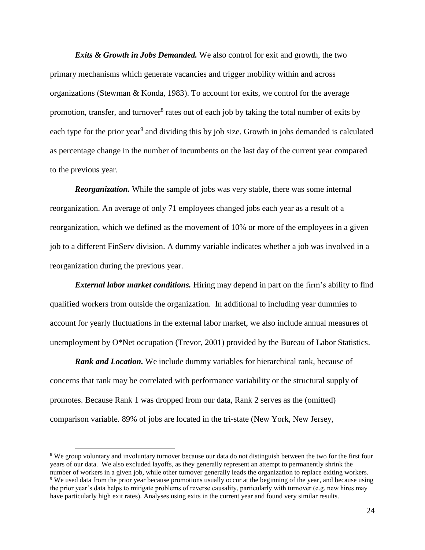*Exits & Growth in Jobs Demanded.* We also control for exit and growth, the two primary mechanisms which generate vacancies and trigger mobility within and across organizations [\(Stewman & Konda, 1983\)](#page-43-0). To account for exits, we control for the average promotion, transfer, and turnover<sup>8</sup> rates out of each job by taking the total number of exits by each type for the prior year<sup>9</sup> and dividing this by job size. Growth in jobs demanded is calculated as percentage change in the number of incumbents on the last day of the current year compared to the previous year.

*Reorganization.* While the sample of jobs was very stable, there was some internal reorganization. An average of only 71 employees changed jobs each year as a result of a reorganization, which we defined as the movement of 10% or more of the employees in a given job to a different FinServ division. A dummy variable indicates whether a job was involved in a reorganization during the previous year.

*External labor market conditions.* Hiring may depend in part on the firm's ability to find qualified workers from outside the organization. In additional to including year dummies to account for yearly fluctuations in the external labor market, we also include annual measures of unemployment by  $O^*$ Net occupation [\(Trevor, 2001\)](#page-43-12) provided by the Bureau of Labor Statistics.

*Rank and Location.* We include dummy variables for hierarchical rank, because of concerns that rank may be correlated with performance variability or the structural supply of promotes. Because Rank 1 was dropped from our data, Rank 2 serves as the (omitted) comparison variable. 89% of jobs are located in the tri-state (New York, New Jersey,

 $\overline{a}$ 

<sup>&</sup>lt;sup>8</sup> We group voluntary and involuntary turnover because our data do not distinguish between the two for the first four years of our data. We also excluded layoffs, as they generally represent an attempt to permanently shrink the number of workers in a given job, while other turnover generally leads the organization to replace exiting workers. <sup>9</sup> We used data from the prior year because promotions usually occur at the beginning of the year, and because using the prior year's data helps to mitigate problems of reverse causality, particularly with turnover (e.g. new hires may have particularly high exit rates). Analyses using exits in the current year and found very similar results.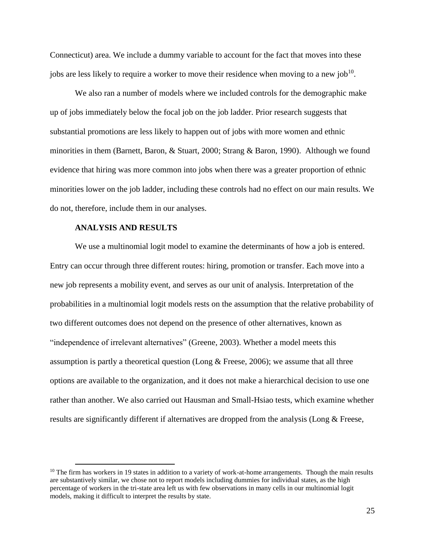Connecticut) area. We include a dummy variable to account for the fact that moves into these jobs are less likely to require a worker to move their residence when moving to a new job<sup>10</sup>.

We also ran a number of models where we included controls for the demographic make up of jobs immediately below the focal job on the job ladder. Prior research suggests that substantial promotions are less likely to happen out of jobs with more women and ethnic minorities in them [\(Barnett, Baron, & Stuart, 2000;](#page-40-10) [Strang & Baron, 1990\)](#page-43-13). Although we found evidence that hiring was more common into jobs when there was a greater proportion of ethnic minorities lower on the job ladder, including these controls had no effect on our main results. We do not, therefore, include them in our analyses.

## **ANALYSIS AND RESULTS**

 $\overline{a}$ 

We use a multinomial logit model to examine the determinants of how a job is entered. Entry can occur through three different routes: hiring, promotion or transfer. Each move into a new job represents a mobility event, and serves as our unit of analysis. Interpretation of the probabilities in a multinomial logit models rests on the assumption that the relative probability of two different outcomes does not depend on the presence of other alternatives, known as "independence of irrelevant alternatives" [\(Greene, 2003\)](#page-41-18). Whether a model meets this assumption is partly a theoretical question (Long  $\&$  Freese, 2006); we assume that all three options are available to the organization, and it does not make a hierarchical decision to use one rather than another. We also carried out Hausman and Small-Hsiao tests, which examine whether results are significantly different if alternatives are dropped from the analysis (Long & Freese,

 $10$  The firm has workers in 19 states in addition to a variety of work-at-home arrangements. Though the main results are substantively similar, we chose not to report models including dummies for individual states, as the high percentage of workers in the tri-state area left us with few observations in many cells in our multinomial logit models, making it difficult to interpret the results by state.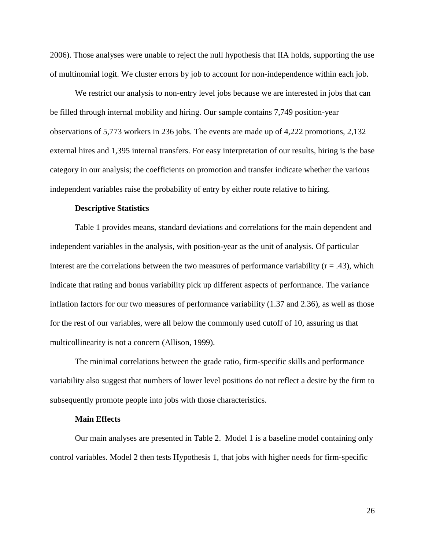2006). Those analyses were unable to reject the null hypothesis that IIA holds, supporting the use of multinomial logit. We cluster errors by job to account for non-independence within each job.

We restrict our analysis to non-entry level jobs because we are interested in jobs that can be filled through internal mobility and hiring. Our sample contains 7,749 position-year observations of 5,773 workers in 236 jobs. The events are made up of 4,222 promotions, 2,132 external hires and 1,395 internal transfers. For easy interpretation of our results, hiring is the base category in our analysis; the coefficients on promotion and transfer indicate whether the various independent variables raise the probability of entry by either route relative to hiring.

#### **Descriptive Statistics**

Table 1 provides means, standard deviations and correlations for the main dependent and independent variables in the analysis, with position-year as the unit of analysis. Of particular interest are the correlations between the two measures of performance variability  $(r = .43)$ , which indicate that rating and bonus variability pick up different aspects of performance. The variance inflation factors for our two measures of performance variability (1.37 and 2.36), as well as those for the rest of our variables, were all below the commonly used cutoff of 10, assuring us that multicollinearity is not a concern (Allison, 1999).

The minimal correlations between the grade ratio, firm-specific skills and performance variability also suggest that numbers of lower level positions do not reflect a desire by the firm to subsequently promote people into jobs with those characteristics.

#### **Main Effects**

Our main analyses are presented in Table 2. Model 1 is a baseline model containing only control variables. Model 2 then tests Hypothesis 1, that jobs with higher needs for firm-specific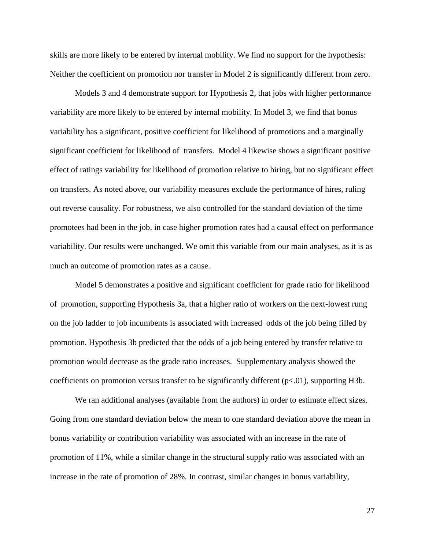skills are more likely to be entered by internal mobility. We find no support for the hypothesis: Neither the coefficient on promotion nor transfer in Model 2 is significantly different from zero.

Models 3 and 4 demonstrate support for Hypothesis 2, that jobs with higher performance variability are more likely to be entered by internal mobility. In Model 3, we find that bonus variability has a significant, positive coefficient for likelihood of promotions and a marginally significant coefficient for likelihood of transfers. Model 4 likewise shows a significant positive effect of ratings variability for likelihood of promotion relative to hiring, but no significant effect on transfers. As noted above, our variability measures exclude the performance of hires, ruling out reverse causality. For robustness, we also controlled for the standard deviation of the time promotees had been in the job, in case higher promotion rates had a causal effect on performance variability. Our results were unchanged. We omit this variable from our main analyses, as it is as much an outcome of promotion rates as a cause.

Model 5 demonstrates a positive and significant coefficient for grade ratio for likelihood of promotion, supporting Hypothesis 3a, that a higher ratio of workers on the next-lowest rung on the job ladder to job incumbents is associated with increased odds of the job being filled by promotion. Hypothesis 3b predicted that the odds of a job being entered by transfer relative to promotion would decrease as the grade ratio increases. Supplementary analysis showed the coefficients on promotion versus transfer to be significantly different  $(p<0.01)$ , supporting H3b.

We ran additional analyses (available from the authors) in order to estimate effect sizes. Going from one standard deviation below the mean to one standard deviation above the mean in bonus variability or contribution variability was associated with an increase in the rate of promotion of 11%, while a similar change in the structural supply ratio was associated with an increase in the rate of promotion of 28%. In contrast, similar changes in bonus variability,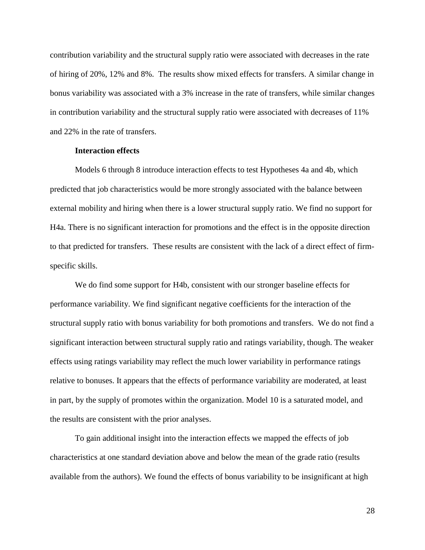contribution variability and the structural supply ratio were associated with decreases in the rate of hiring of 20%, 12% and 8%. The results show mixed effects for transfers. A similar change in bonus variability was associated with a 3% increase in the rate of transfers, while similar changes in contribution variability and the structural supply ratio were associated with decreases of 11% and 22% in the rate of transfers.

## **Interaction effects**

Models 6 through 8 introduce interaction effects to test Hypotheses 4a and 4b, which predicted that job characteristics would be more strongly associated with the balance between external mobility and hiring when there is a lower structural supply ratio. We find no support for H4a. There is no significant interaction for promotions and the effect is in the opposite direction to that predicted for transfers. These results are consistent with the lack of a direct effect of firmspecific skills.

We do find some support for H4b, consistent with our stronger baseline effects for performance variability. We find significant negative coefficients for the interaction of the structural supply ratio with bonus variability for both promotions and transfers. We do not find a significant interaction between structural supply ratio and ratings variability, though. The weaker effects using ratings variability may reflect the much lower variability in performance ratings relative to bonuses. It appears that the effects of performance variability are moderated, at least in part, by the supply of promotes within the organization. Model 10 is a saturated model, and the results are consistent with the prior analyses.

To gain additional insight into the interaction effects we mapped the effects of job characteristics at one standard deviation above and below the mean of the grade ratio (results available from the authors). We found the effects of bonus variability to be insignificant at high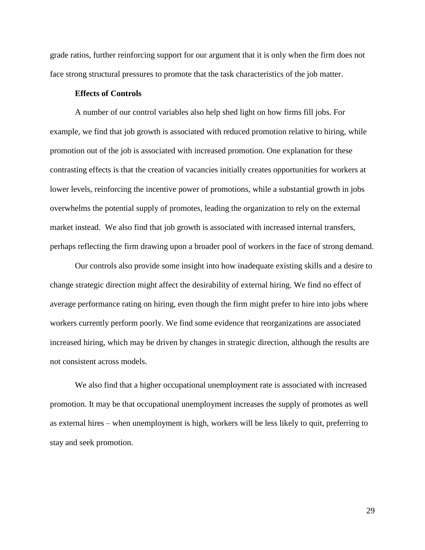grade ratios, further reinforcing support for our argument that it is only when the firm does not face strong structural pressures to promote that the task characteristics of the job matter.

#### **Effects of Controls**

A number of our control variables also help shed light on how firms fill jobs. For example, we find that job growth is associated with reduced promotion relative to hiring, while promotion out of the job is associated with increased promotion. One explanation for these contrasting effects is that the creation of vacancies initially creates opportunities for workers at lower levels, reinforcing the incentive power of promotions, while a substantial growth in jobs overwhelms the potential supply of promotes, leading the organization to rely on the external market instead. We also find that job growth is associated with increased internal transfers, perhaps reflecting the firm drawing upon a broader pool of workers in the face of strong demand.

Our controls also provide some insight into how inadequate existing skills and a desire to change strategic direction might affect the desirability of external hiring. We find no effect of average performance rating on hiring, even though the firm might prefer to hire into jobs where workers currently perform poorly. We find some evidence that reorganizations are associated increased hiring, which may be driven by changes in strategic direction, although the results are not consistent across models.

We also find that a higher occupational unemployment rate is associated with increased promotion. It may be that occupational unemployment increases the supply of promotes as well as external hires – when unemployment is high, workers will be less likely to quit, preferring to stay and seek promotion.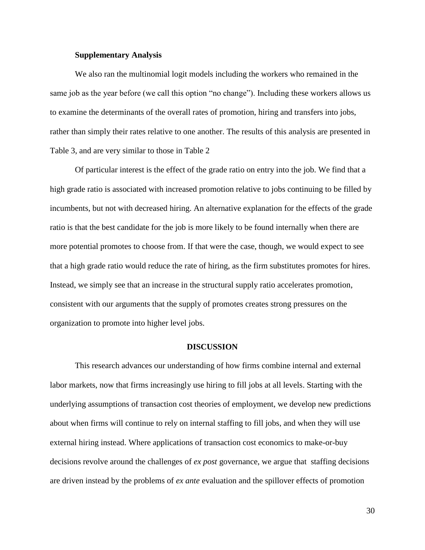#### **Supplementary Analysis**

We also ran the multinomial logit models including the workers who remained in the same job as the year before (we call this option "no change"). Including these workers allows us to examine the determinants of the overall rates of promotion, hiring and transfers into jobs, rather than simply their rates relative to one another. The results of this analysis are presented in Table 3, and are very similar to those in Table 2

Of particular interest is the effect of the grade ratio on entry into the job. We find that a high grade ratio is associated with increased promotion relative to jobs continuing to be filled by incumbents, but not with decreased hiring. An alternative explanation for the effects of the grade ratio is that the best candidate for the job is more likely to be found internally when there are more potential promotes to choose from. If that were the case, though, we would expect to see that a high grade ratio would reduce the rate of hiring, as the firm substitutes promotes for hires. Instead, we simply see that an increase in the structural supply ratio accelerates promotion, consistent with our arguments that the supply of promotes creates strong pressures on the organization to promote into higher level jobs.

#### **DISCUSSION**

This research advances our understanding of how firms combine internal and external labor markets, now that firms increasingly use hiring to fill jobs at all levels. Starting with the underlying assumptions of transaction cost theories of employment, we develop new predictions about when firms will continue to rely on internal staffing to fill jobs, and when they will use external hiring instead. Where applications of transaction cost economics to make-or-buy decisions revolve around the challenges of *ex post* governance, we argue that staffing decisions are driven instead by the problems of *ex ante* evaluation and the spillover effects of promotion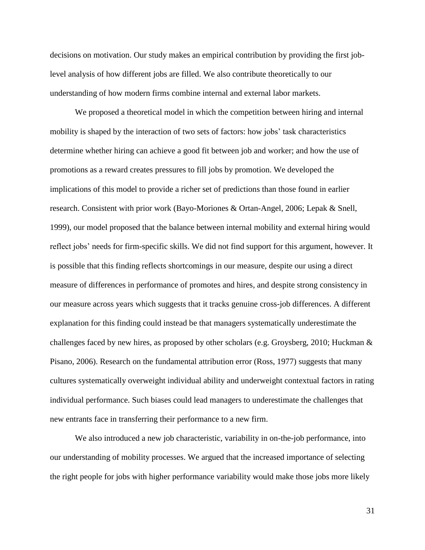decisions on motivation. Our study makes an empirical contribution by providing the first joblevel analysis of how different jobs are filled. We also contribute theoretically to our understanding of how modern firms combine internal and external labor markets.

We proposed a theoretical model in which the competition between hiring and internal mobility is shaped by the interaction of two sets of factors: how jobs' task characteristics determine whether hiring can achieve a good fit between job and worker; and how the use of promotions as a reward creates pressures to fill jobs by promotion. We developed the implications of this model to provide a richer set of predictions than those found in earlier research. Consistent with prior work [\(Bayo-Moriones & Ortan-Angel, 2006;](#page-40-3) [Lepak & Snell,](#page-42-9)  [1999\)](#page-42-9), our model proposed that the balance between internal mobility and external hiring would reflect jobs' needs for firm-specific skills. We did not find support for this argument, however. It is possible that this finding reflects shortcomings in our measure, despite our using a direct measure of differences in performance of promotes and hires, and despite strong consistency in our measure across years which suggests that it tracks genuine cross-job differences. A different explanation for this finding could instead be that managers systematically underestimate the challenges faced by new hires, as proposed by other scholars (e.g. [Groysberg, 2010;](#page-41-5) Huckman  $\&$ [Pisano, 2006\)](#page-41-8). Research on the fundamental attribution error [\(Ross, 1977\)](#page-42-18) suggests that many cultures systematically overweight individual ability and underweight contextual factors in rating individual performance. Such biases could lead managers to underestimate the challenges that new entrants face in transferring their performance to a new firm.

We also introduced a new job characteristic, variability in on-the-job performance, into our understanding of mobility processes. We argued that the increased importance of selecting the right people for jobs with higher performance variability would make those jobs more likely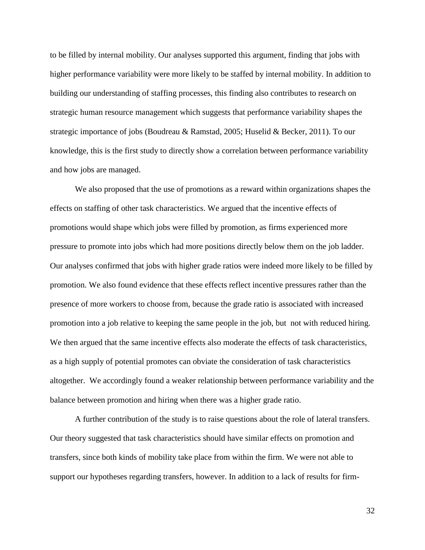to be filled by internal mobility. Our analyses supported this argument, finding that jobs with higher performance variability were more likely to be staffed by internal mobility. In addition to building our understanding of staffing processes, this finding also contributes to research on strategic human resource management which suggests that performance variability shapes the strategic importance of jobs [\(Boudreau & Ramstad, 2005;](#page-40-11) [Huselid & Becker, 2011\)](#page-41-3). To our knowledge, this is the first study to directly show a correlation between performance variability and how jobs are managed.

We also proposed that the use of promotions as a reward within organizations shapes the effects on staffing of other task characteristics. We argued that the incentive effects of promotions would shape which jobs were filled by promotion, as firms experienced more pressure to promote into jobs which had more positions directly below them on the job ladder. Our analyses confirmed that jobs with higher grade ratios were indeed more likely to be filled by promotion. We also found evidence that these effects reflect incentive pressures rather than the presence of more workers to choose from, because the grade ratio is associated with increased promotion into a job relative to keeping the same people in the job, but not with reduced hiring. We then argued that the same incentive effects also moderate the effects of task characteristics, as a high supply of potential promotes can obviate the consideration of task characteristics altogether. We accordingly found a weaker relationship between performance variability and the balance between promotion and hiring when there was a higher grade ratio.

A further contribution of the study is to raise questions about the role of lateral transfers. Our theory suggested that task characteristics should have similar effects on promotion and transfers, since both kinds of mobility take place from within the firm. We were not able to support our hypotheses regarding transfers, however. In addition to a lack of results for firm-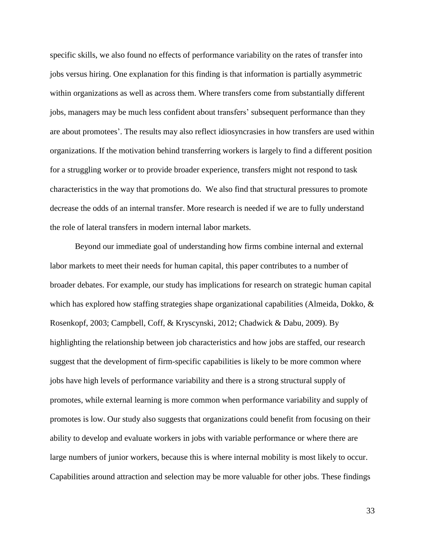specific skills, we also found no effects of performance variability on the rates of transfer into jobs versus hiring. One explanation for this finding is that information is partially asymmetric within organizations as well as across them. Where transfers come from substantially different jobs, managers may be much less confident about transfers' subsequent performance than they are about promotees'. The results may also reflect idiosyncrasies in how transfers are used within organizations. If the motivation behind transferring workers is largely to find a different position for a struggling worker or to provide broader experience, transfers might not respond to task characteristics in the way that promotions do. We also find that structural pressures to promote decrease the odds of an internal transfer. More research is needed if we are to fully understand the role of lateral transfers in modern internal labor markets.

Beyond our immediate goal of understanding how firms combine internal and external labor markets to meet their needs for human capital, this paper contributes to a number of broader debates. For example, our study has implications for research on strategic human capital which has explored how staffing strategies shape organizational capabilities (Almeida, Dokko,  $\&$ [Rosenkopf, 2003;](#page-40-12) [Campbell, Coff, & Kryscynski, 2012;](#page-40-13) [Chadwick & Dabu, 2009\)](#page-41-2). By highlighting the relationship between job characteristics and how jobs are staffed, our research suggest that the development of firm-specific capabilities is likely to be more common where jobs have high levels of performance variability and there is a strong structural supply of promotes, while external learning is more common when performance variability and supply of promotes is low. Our study also suggests that organizations could benefit from focusing on their ability to develop and evaluate workers in jobs with variable performance or where there are large numbers of junior workers, because this is where internal mobility is most likely to occur. Capabilities around attraction and selection may be more valuable for other jobs. These findings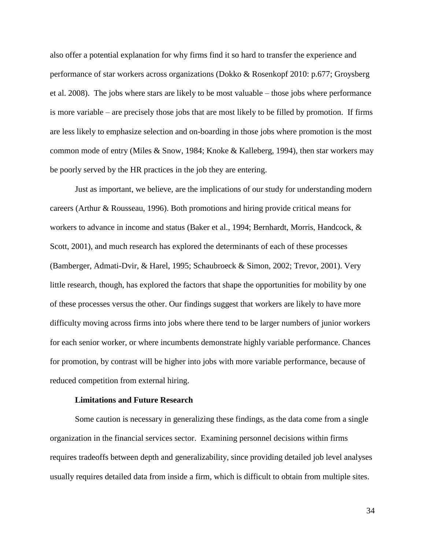also offer a potential explanation for why firms find it so hard to transfer the experience and performance of star workers across organizations (Dokko & Rosenkopf 2010: p.677; Groysberg et al. 2008). The jobs where stars are likely to be most valuable – those jobs where performance is more variable – are precisely those jobs that are most likely to be filled by promotion. If firms are less likely to emphasize selection and on-boarding in those jobs where promotion is the most common mode of entry (Miles & Snow, 1984; Knoke & Kalleberg, 1994), then star workers may be poorly served by the HR practices in the job they are entering.

Just as important, we believe, are the implications of our study for understanding modern careers [\(Arthur & Rousseau, 1996\)](#page-40-0). Both promotions and hiring provide critical means for workers to advance in income and status [\(Baker et al., 1994;](#page-40-1) [Bernhardt, Morris, Handcock, &](#page-40-14)  [Scott, 2001\)](#page-40-14), and much research has explored the determinants of each of these processes [\(Bamberger, Admati-Dvir, & Harel, 1995;](#page-40-15) [Schaubroeck & Simon, 2002;](#page-43-14) [Trevor, 2001\)](#page-43-12). Very little research, though, has explored the factors that shape the opportunities for mobility by one of these processes versus the other. Our findings suggest that workers are likely to have more difficulty moving across firms into jobs where there tend to be larger numbers of junior workers for each senior worker, or where incumbents demonstrate highly variable performance. Chances for promotion, by contrast will be higher into jobs with more variable performance, because of reduced competition from external hiring.

#### **Limitations and Future Research**

Some caution is necessary in generalizing these findings, as the data come from a single organization in the financial services sector. Examining personnel decisions within firms requires tradeoffs between depth and generalizability, since providing detailed job level analyses usually requires detailed data from inside a firm, which is difficult to obtain from multiple sites.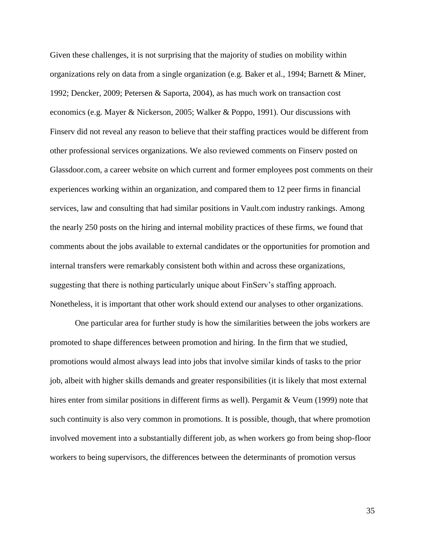Given these challenges, it is not surprising that the majority of studies on mobility within organizations rely on data from a single organization (e.g. [Baker et al., 1994;](#page-40-1) [Barnett & Miner,](#page-40-16)  [1992;](#page-40-16) [Dencker, 2009;](#page-41-13) [Petersen & Saporta, 2004\)](#page-42-2), as has much work on transaction cost economics (e.g. [Mayer & Nickerson, 2005;](#page-42-8) [Walker & Poppo, 1991\)](#page-43-15). Our discussions with Finserv did not reveal any reason to believe that their staffing practices would be different from other professional services organizations. We also reviewed comments on Finserv posted on Glassdoor.com, a career website on which current and former employees post comments on their experiences working within an organization, and compared them to 12 peer firms in financial services, law and consulting that had similar positions in Vault.com industry rankings. Among the nearly 250 posts on the hiring and internal mobility practices of these firms, we found that comments about the jobs available to external candidates or the opportunities for promotion and internal transfers were remarkably consistent both within and across these organizations, suggesting that there is nothing particularly unique about FinServ's staffing approach. Nonetheless, it is important that other work should extend our analyses to other organizations.

One particular area for further study is how the similarities between the jobs workers are promoted to shape differences between promotion and hiring. In the firm that we studied, promotions would almost always lead into jobs that involve similar kinds of tasks to the prior job, albeit with higher skills demands and greater responsibilities (it is likely that most external hires enter from similar positions in different firms as well). Pergamit & Veum [\(1999\)](#page-42-19) note that such continuity is also very common in promotions. It is possible, though, that where promotion involved movement into a substantially different job, as when workers go from being shop-floor workers to being supervisors, the differences between the determinants of promotion versus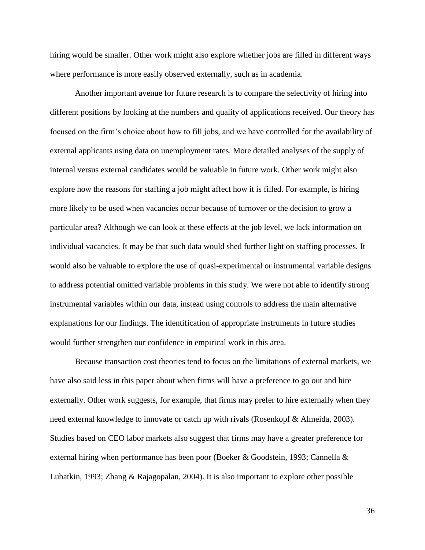hiring would be smaller. Other work might also explore whether jobs are filled in different ways where performance is more easily observed externally, such as in academia.

Another important avenue for future research is to compare the selectivity of hiring into different positions by looking at the numbers and quality of applications received. Our theory has focused on the firm's choice about how to fill jobs, and we have controlled for the availability of external applicants using data on unemployment rates. More detailed analyses of the supply of internal versus external candidates would be valuable in future work. Other work might also explore how the reasons for staffing a job might affect how it is filled. For example, is hiring more likely to be used when vacancies occur because of turnover or the decision to grow a particular area? Although we can look at these effects at the job level, we lack information on individual vacancies. It may be that such data would shed further light on staffing processes. It would also be valuable to explore the use of quasi-experimental or instrumental variable designs to address potential omitted variable problems in this study. We were not able to identify strong instrumental variables within our data, instead using controls to address the main alternative explanations for our findings. The identification of appropriate instruments in future studies would further strengthen our confidence in empirical work in this area.

Because transaction cost theories tend to focus on the limitations of external markets, we have also said less in this paper about when firms will have a preference to go out and hire externally. Other work suggests, for example, that firms may prefer to hire externally when they need external knowledge to innovate or catch up with rivals [\(Rosenkopf & Almeida, 2003\)](#page-42-16). Studies based on CEO labor markets also suggest that firms may have a greater preference for external hiring when performance has been poor [\(Boeker & Goodstein, 1993;](#page-40-17) [Cannella &](#page-40-4)  [Lubatkin, 1993;](#page-40-4) [Zhang & Rajagopalan, 2004\)](#page-43-16). It is also important to explore other possible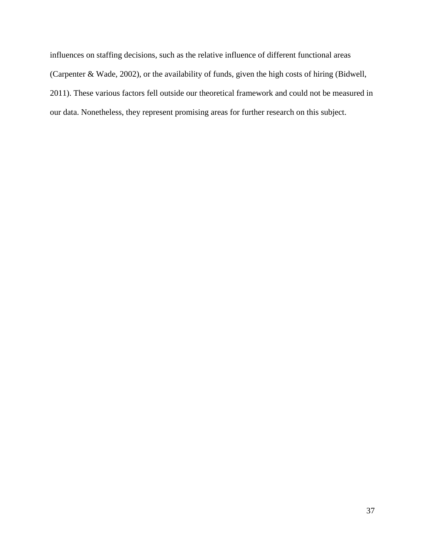influences on staffing decisions, such as the relative influence of different functional areas [\(Carpenter & Wade, 2002\)](#page-41-19), or the availability of funds, given the high costs of hiring [\(Bidwell,](#page-40-2)  [2011\)](#page-40-2). These various factors fell outside our theoretical framework and could not be measured in our data. Nonetheless, they represent promising areas for further research on this subject.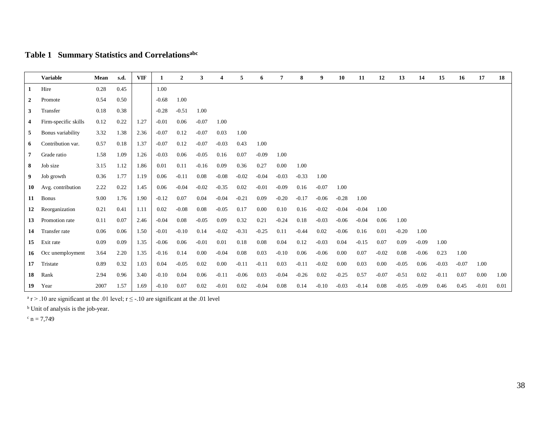# **Table 1 Summary Statistics and Correlationsabc**

|                | <b>Variable</b>      | Mean | s.d. | <b>VIF</b> |         | $\overline{2}$ | 3       | 4       | 5        | 6       | 7       | 8       | 9       | 10      | 11      | 12      | 13      | 14      | 15      | 16      | 17      | 18   |
|----------------|----------------------|------|------|------------|---------|----------------|---------|---------|----------|---------|---------|---------|---------|---------|---------|---------|---------|---------|---------|---------|---------|------|
| $\mathbf{1}$   | Hire                 | 0.28 | 0.45 |            | 1.00    |                |         |         |          |         |         |         |         |         |         |         |         |         |         |         |         |      |
| $\overline{2}$ | Promote              | 0.54 | 0.50 |            | $-0.68$ | 1.00           |         |         |          |         |         |         |         |         |         |         |         |         |         |         |         |      |
| 3 <sup>1</sup> | Transfer             | 0.18 | 0.38 |            | $-0.28$ | $-0.51$        | 1.00    |         |          |         |         |         |         |         |         |         |         |         |         |         |         |      |
| 4              | Firm-specific skills | 0.12 | 0.22 | 1.27       | $-0.01$ | 0.06           | $-0.07$ | 1.00    |          |         |         |         |         |         |         |         |         |         |         |         |         |      |
| 5              | Bonus variability    | 3.32 | 1.38 | 2.36       | $-0.07$ | 0.12           | $-0.07$ | 0.03    | 1.00     |         |         |         |         |         |         |         |         |         |         |         |         |      |
| 6              | Contribution var.    | 0.57 | 0.18 | 1.37       | $-0.07$ | 0.12           | $-0.07$ | $-0.03$ | 0.43     | 1.00    |         |         |         |         |         |         |         |         |         |         |         |      |
| 7              | Grade ratio          | 1.58 | 1.09 | 1.26       | $-0.03$ | 0.06           | $-0.05$ | 0.16    | 0.07     | $-0.09$ | 1.00    |         |         |         |         |         |         |         |         |         |         |      |
| 8              | Job size             | 3.15 | 1.12 | 1.86       | 0.01    | 0.11           | $-0.16$ | 0.09    | 0.36     | 0.27    | 0.00    | 1.00    |         |         |         |         |         |         |         |         |         |      |
| 9              | Job growth           | 0.36 | 1.77 | 1.19       | 0.06    | $-0.11$        | 0.08    | $-0.08$ | $-0.02$  | $-0.04$ | $-0.03$ | $-0.33$ | 1.00    |         |         |         |         |         |         |         |         |      |
| 10             | Avg. contribution    | 2.22 | 0.22 | 1.45       | 0.06    | $-0.04$        | $-0.02$ | $-0.35$ | 0.02     | $-0.01$ | $-0.09$ | 0.16    | $-0.07$ | 1.00    |         |         |         |         |         |         |         |      |
| 11             | <b>Bonus</b>         | 9.00 | 1.76 | 1.90       | $-0.12$ | 0.07           | 0.04    | $-0.04$ | $-0.21$  | 0.09    | $-0.20$ | $-0.17$ | $-0.06$ | $-0.28$ | 1.00    |         |         |         |         |         |         |      |
| 12             | Reorganization       | 0.21 | 0.41 | 1.11       | 0.02    | $-0.08$        | 0.08    | $-0.05$ | 0.17     | 0.00    | 0.10    | 0.16    | $-0.02$ | $-0.04$ | $-0.04$ | 1.00    |         |         |         |         |         |      |
| 13             | Promotion rate       | 0.11 | 0.07 | 2.46       | $-0.04$ | 0.08           | $-0.05$ | 0.09    | 0.32     | 0.21    | $-0.24$ | 0.18    | $-0.03$ | $-0.06$ | $-0.04$ | 0.06    | 1.00    |         |         |         |         |      |
| 14             | Transfer rate        | 0.06 | 0.06 | 1.50       | $-0.01$ | $-0.10$        | 0.14    | $-0.02$ | $-0.31$  | $-0.25$ | 0.11    | $-0.44$ | 0.02    | $-0.06$ | 0.16    | 0.01    | $-0.20$ | 1.00    |         |         |         |      |
| 15             | Exit rate            | 0.09 | 0.09 | 1.35       | $-0.06$ | 0.06           | $-0.01$ | 0.01    | 0.18     | 0.08    | 0.04    | 0.12    | $-0.03$ | 0.04    | $-0.15$ | 0.07    | 0.09    | $-0.09$ | 1.00    |         |         |      |
| 16             | Occ unemployment     | 3.64 | 2.20 | 1.35       | $-0.16$ | 0.14           | 0.00    | $-0.04$ | $0.08\,$ | 0.03    | $-0.10$ | 0.06    | $-0.06$ | 0.00    | 0.07    | $-0.02$ | 0.08    | $-0.06$ | 0.23    | 1.00    |         |      |
| 17             | Tristate             | 0.89 | 0.32 | 1.03       | 0.04    | $-0.05$        | 0.02    | 0.00    | $-0.11$  | $-0.11$ | 0.03    | $-0.11$ | $-0.02$ | 0.00    | 0.03    | 0.00    | $-0.05$ | 0.06    | $-0.03$ | $-0.07$ | 1.00    |      |
| 18             | Rank                 | 2.94 | 0.96 | 3.40       | $-0.10$ | 0.04           | 0.06    | $-0.11$ | $-0.06$  | 0.03    | $-0.04$ | $-0.26$ | 0.02    | $-0.25$ | 0.57    | $-0.07$ | $-0.51$ | 0.02    | $-0.11$ | 0.07    | 0.00    | 1.00 |
| 19             | Year                 | 2007 | 1.57 | 1.69       | $-0.10$ | 0.07           | 0.02    | $-0.01$ | 0.02     | $-0.04$ | 0.08    | 0.14    | $-0.10$ | $-0.03$ | $-0.14$ | 0.08    | $-0.05$ | $-0.09$ | 0.46    | 0.45    | $-0.01$ | 0.01 |

<sup>a</sup> r > .10 are significant at the .01 level; r  $\leq$  -.10 are significant at the .01 level

<sup>b</sup> Unit of analysis is the job-year.

 $c n = 7,749$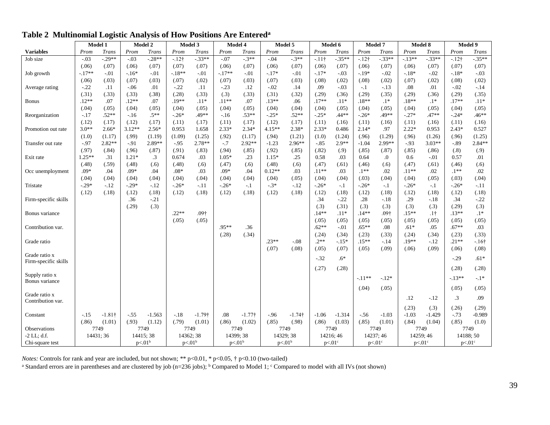|                      | Model 1           |                | Model 2           |                    | Model 3           |                    | Model 4                 |                    | Model 5           |                    | Model 6         |                    | Model 7         |                                 | Model 8            |                 | Model 9            |             |  |
|----------------------|-------------------|----------------|-------------------|--------------------|-------------------|--------------------|-------------------------|--------------------|-------------------|--------------------|-----------------|--------------------|-----------------|---------------------------------|--------------------|-----------------|--------------------|-------------|--|
| <b>Variables</b>     | Prom              | Trans          | Prom              | Trans              | Prom              | <b>Trans</b>       | Prom                    | <b>Trans</b>       | Prom              | Trans              | Prom            | <b>Trans</b>       | Prom            | <b>Trans</b>                    | Prom               | <b>Trans</b>    | Prom               | Trans       |  |
| Job size             | $-.03$            | $-29**$        | $-.03$            | $-.28**$           | $-12†$            | $-.33**$           | $-.07$                  | $-3**$             | $-.04$            | $-3**$             | $-.11+$         | $-.35**$           | $-12†$          | $-.33**$                        | $-13**$            | $-.33**$        | $-12†$             | $-.35**$    |  |
|                      | (.06)             | (.07)          | (.06)             | (.07)              | (.07)             | (.07)              | (.06)                   | (.07)              | (.06)             | (.07)              | (.06)           | (.07)              | (.06)           | (.07)                           | (.06)              | (.07)           | (.07)              | (.07)       |  |
| Job growth           | $-.17**$          | $-.01$         | $-.16*$           | $-.01$             | $-.18**$          | $-.01$             | $-.17**$                | $-.01$             | $-.17*$           | $-.01$             | $-17*$          | $-.03$             | $-.19*$         | $-.02$                          | $-18*$             | $-.02$          | $-.18*$            | $-.03$      |  |
|                      | (.06)             | (.03)          | (.07)             | (.03)              | (.07)             | (.02)              | (.07)                   | (.03)              | (.07)             | (.03)              | (.08)           | (.02)              | (.08)           | (.02)                           | (.07)              | (.02)           | (.08)              | (.02)       |  |
| Average rating       | $-.22$            | .11            | $-.06$            | .01                | $-0.22$           | .11                | $-.23$                  | .12                | $-.02$            | .14                | .09             | $-.03$             | $-.1$           | $-.13$                          | .08                | .01             | $-.02$             | $-.14$      |  |
|                      | (.31)             | (.33)          | (.33)             | (.38)              | (.28)             | (.33)              | (.3)                    | (.33)              | (.31)             | (.32)              | (.29)           | (.36)              | (.29)           | (.35)                           | (.29)              | (.36)           | (.29)              | (.35)       |  |
| <b>Bonus</b>         | $.12**$           | .07            | $.12**$           | .07                | $.19**$           | $.11*$             | $.11**$                 | .07                | $.13**$           | .06                | $.17**$         | $.11*$             | $.18**$         | $.1*$                           | $.18**$            | $.1*$           | $.17**$            | $.11*$      |  |
|                      | (.04)             | (.05)          | (.04)             | (.05)              | (.04)             | (.05)              | (.04)                   | (.05)              | (.04)             | (.04)              | (.04)           | (.05)              | (.04)           | (.05)                           | (.04)              | (.05)           | (.04)              | (.05)       |  |
| Reorganization       | $-.17$            | $.52**$        | $-.16$            | $.5**$             | $-.26*$           | .49**              | $-16$                   | $.53**$            | $-.25*$           | $.52**$            | $-.25*$         | $.44**$            | $-.26*$         | .49**                           | $-.27*$            | $.47**$         | $-.24*$            | $.46**$     |  |
|                      | (.12)             | (.17)          | (.12)             | (.17)              | (.11)             | (.17)              | (.11)                   | (.17)              | (.12)             | (.17)              | (.11)           | (.16)              | (.11)           | (.16)                           | (.11)              | (.16)           | (.11)              | (.16)       |  |
| Promotion out rate   | $3.0**$           | $2.66*$        | $3.12**$          | $2.56*$            | 0.953             | 1.658              | $2.33*$                 | $2.34*$            | $4.15**$          | $2.38*$            | $2.33*$         | 0.486              | $2.14*$         | .97                             | $2.22*$            | 0.953           | $2.43*$            | 0.527       |  |
|                      | (1.0)             | (1.17)         | (.99)             | (1.19)             | (1.09)            | (1.25)             | (.92)                   | (1.17)             | (.94)             | (1.21)             | (1.0)           | (1.24)             | (.96)           | (1.29)                          | (.96)              | (1.26)          | (.96)              | (1.25)      |  |
| Transfer out rate    | $-.97$            | $2.82**$       | $-.91$            | 2.89**             | $-.95$            | $2.78**$           | $-.7$<br>(.94)          | $2.92**$           | $-1.23$           | $2.96**$           | $-.85$          | $2.9**$            | $-1.04$         | 2.99**                          | $-.93$             | $3.03**$        | $-0.89$            | $2.84**$    |  |
| Exit rate            | (.97)<br>$1.25**$ | (.84)<br>.31   | (.96)<br>$1.21*$  | (.87)              | (.91)<br>0.674    | (.83)<br>.03       | $1.05*$                 | (.85)<br>.23       | (.92)<br>$1.15*$  | (.85)<br>.25       | (.82)<br>0.58   | (.9)<br>.03        | (.85)<br>0.64   | (.87)                           | (.85)<br>0.6       | (.86)<br>$-.01$ | (.8)<br>0.57       | (.9)<br>.01 |  |
|                      | (.48)             | (.59)          | (.48)             | $\cdot$ 3<br>(.6)  | (.48)             | (.6)               | (.47)                   | (.6)               | (.48)             | (.6)               | (.47)           | (.61)              | (.46)           | 0.<br>(.6)                      | (.47)              | (.61)           | (.46)              | (.6)        |  |
| Occ unemployment     | $.09*$            | .04            | $.09*$            | .04                | $.08*$            | .03                | $.09*$                  | .04                | $0.12**$          | .03                | $.11**$         | .03                | $.1***$         | .02                             | $.11**$            | .02             | $.1**$             | .02         |  |
|                      | (.04)             | (.04)          | (.04)             | (.04)              | (.04)             | (.04)              | (.04)                   | (.04)              | (.04)             | (.05)              | (.04)           | (.04)              | (.03)           | (.04)                           | (.04)              | (.05)           | (.03)              | (.04)       |  |
| Tristate             | $-.29*$           | $-12$          | $-.29*$           | $-.12$             | $-.26*$           | $-.11$             | $-.26*$                 | $-.1$              | $-.3*$            | $-.12$             | $-.26*$         | $-.1$              | $-.26*$         | $-.1$                           | $-.26*$            | $-.1$           | $-26*$             | -.11        |  |
|                      | (.12)             | (.18)          | (.12)             | (.18)              | (.12)             | (.18)              | (.12)                   | (.18)              | (.12)             | (.18)              | (.12)           | (.18)              | (.12)           | (.18)                           | (.12)              | (.18)           | (.12)              | (.18)       |  |
| Firm-specific skills |                   |                | .36               | $-.21$             |                   |                    |                         |                    |                   |                    | .34             | $-.22$             | .28             | $-.18$                          | .29                | $-.18$          | .34                | $-.22$      |  |
|                      |                   |                | (.29)             | (.3)               |                   |                    |                         |                    |                   |                    | (.3)            | (.31)              | (.3)            | (.3)                            | (.3)               | (.3)            | (.29)              | (.3)        |  |
| Bonus variance       |                   |                |                   |                    | $.22**$           | .09 <sub>†</sub>   |                         |                    |                   |                    | $.14**$         | $.11*$             | $.14**$         | .09 <sub>†</sub>                | $.15**$            | .1 <sub>†</sub> | $.13**$            | $.1*$       |  |
|                      |                   |                |                   |                    | (.05)             | (.05)              |                         |                    |                   |                    | (.05)           | (.05)              | (.05)           | (.05)                           | (.05)              | (.05)           | (.05)              | (.05)       |  |
| Contribution var.    |                   |                |                   |                    |                   |                    | $.95**$                 | .36                |                   |                    | $.62**$         | $-.01$             | $.65***$        | .08                             | $.61*$             | .05             | $.67**$            | .03         |  |
|                      |                   |                |                   |                    |                   |                    | (.28)                   | (.34)              |                   |                    | (.24)           | (.34)              | (.23)           | (.33)                           | (.24)              | (.34)           | (.23)              | (.33)       |  |
| Grade ratio          |                   |                |                   |                    |                   |                    |                         |                    | $.23**$           | $-.08$             | $.2**$          | $-.15*$            | $.15**$         | $-.14$                          | $.19**$            | $-12$           | $.21**$            | $-16†$      |  |
|                      |                   |                |                   |                    |                   |                    |                         |                    | (.07)             | (.08)              | (.05)           | (.07)              | (.05)           | (.09)                           | (.06)              | (.09)           | (.06)              | (.08)       |  |
| Grade ratio x        |                   |                |                   |                    |                   |                    |                         |                    |                   |                    | $-.32$          | $.6*$              |                 |                                 |                    |                 | $-.29$             | $.61*$      |  |
| Firm-specific skills |                   |                |                   |                    |                   |                    |                         |                    |                   |                    | (.27)           | (.28)              |                 |                                 |                    |                 | (.28)              | (.28)       |  |
| Supply ratio x       |                   |                |                   |                    |                   |                    |                         |                    |                   |                    |                 |                    | $-.11**$        | $-.12*$                         |                    |                 | $-.13**$           | $-1*$       |  |
| Bonus variance       |                   |                |                   |                    |                   |                    |                         |                    |                   |                    |                 |                    | (.04)           | (.05)                           |                    |                 | (.05)              | (.05)       |  |
| Grade ratio x        |                   |                |                   |                    |                   |                    |                         |                    |                   |                    |                 |                    |                 |                                 |                    |                 |                    |             |  |
| Contribution var.    |                   |                |                   |                    |                   |                    |                         |                    |                   |                    |                 |                    |                 |                                 | .12                | $-.12$          | $\cdot$ 3          | .09         |  |
|                      |                   |                |                   |                    |                   |                    |                         |                    |                   |                    |                 |                    |                 |                                 | (.23)              | (.3)            | (.26)              | (.29)       |  |
| Constant             | $-15$             | $-1.81\dagger$ | $-.55$            | $-1.563$           | $-.18$            | $-1.79$ †          | $.08\,$                 | $-1.77$ †          | $-.96$            | $-1.74$ †          | $-1.06$         | $-1.314$           | $-.56$          | $-1.03$                         | $-1.03$            | $-1.429$        | $-73$              | $-0.989$    |  |
|                      | (.86)             | (1.01)         | (.93)<br>(1.12)   |                    | (.79)<br>(1.01)   |                    | (.86)<br>(1.02)<br>7749 |                    | (.85)<br>(.98)    |                    | (.86)<br>(1.03) |                    | (.85)<br>(1.01) |                                 | (.84)<br>(1.04)    |                 | (.85)<br>(1.0)     |             |  |
| <b>Observations</b>  |                   | 7749           | 7749<br>14415; 38 |                    | 7749<br>14362; 38 |                    |                         |                    | 7749<br>14329; 38 |                    | 7749            |                    | 7749            |                                 | 7749               |                 | 7749               |             |  |
| $-2$ LL; d.f.        |                   | 14431; 36      |                   |                    |                   |                    |                         | 14399; 38          |                   |                    | 14216; 46       |                    |                 | 14237; 46<br>p<.01 <sup>c</sup> |                    | 14259; 46       |                    | 14188; 50   |  |
| Chi-square test      |                   |                |                   | p<.01 <sup>b</sup> |                   | p<.01 <sup>b</sup> |                         | p<.01 <sup>b</sup> |                   | p<.01 <sup>b</sup> |                 | p<.01 <sup>c</sup> |                 |                                 | p<.01 <sup>c</sup> |                 | p<.01 <sup>c</sup> |             |  |

# **Table 2 Multinomial Logistic Analysis of How Positions Are Entered<sup>a</sup>**

*Notes:* Controls for rank and year are included, but not shown; \*\* p<0.01, \* p<0.05, † p<0.10 (two-tailed)

<sup>a</sup> Standard errors are in parentheses and are clustered by job (n=236 jobs); <sup>b</sup> Compared to Model 1; <sup>c</sup> Compared to model with all IVs (not shown)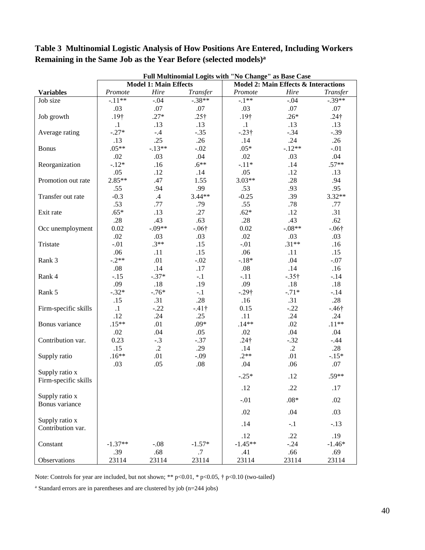# **Table 3 Multinomial Logistic Analysis of How Positions Are Entered, Including Workers Remaining in the Same Job as the Year Before (selected models)<sup>a</sup>**

| Full Multinomial Logits with "No Change" as Base Case |                  |                              |               |                  |                                      |                 |  |  |  |  |  |  |
|-------------------------------------------------------|------------------|------------------------------|---------------|------------------|--------------------------------------|-----------------|--|--|--|--|--|--|
|                                                       |                  | <b>Model 1: Main Effects</b> |               |                  | Model 2: Main Effects & Interactions |                 |  |  |  |  |  |  |
| <b>Variables</b>                                      | Promote          | Hire                         | Transfer      | Promote          | Hire                                 | <b>Transfer</b> |  |  |  |  |  |  |
| Job size                                              | $-11**$          | $-.04$                       | $-.38**$      | $-1$ **          | $-.04$                               | $-.39**$        |  |  |  |  |  |  |
|                                                       | .03              | .07                          | .07           | .03              | .07                                  | .07             |  |  |  |  |  |  |
| Job growth                                            | .19 <sup>†</sup> | $.27*$                       | $.25\dagger$  | .19 <sup>†</sup> | $.26*$                               | $.24\dagger$    |  |  |  |  |  |  |
|                                                       | $\cdot$ 1        | .13                          | .13           | $\cdot$ 1        | .13                                  | .13             |  |  |  |  |  |  |
| Average rating                                        | $-.27*$          | $-.4$                        | $-.35$        | $-.23\dagger$    | $-.34$                               | $-.39$          |  |  |  |  |  |  |
|                                                       | .13              | .25                          | .26           | .14              | .24                                  | .26             |  |  |  |  |  |  |
| <b>Bonus</b>                                          | $.05**$          | $-.13**$                     | $-.02$        | $.05*$           | $-.12**$                             | $-.01$          |  |  |  |  |  |  |
|                                                       | .02              | .03                          | .04           | .02              | .03                                  | .04             |  |  |  |  |  |  |
| Reorganization                                        | $-.12*$          | .16                          | $.6***$       | $-.11*$          | .14                                  | $.57**$         |  |  |  |  |  |  |
|                                                       | .05              | .12                          | .14           | .05              | .12                                  | .13             |  |  |  |  |  |  |
| Promotion out rate                                    | $2.85**$         | .47                          | 1.55          | $3.03**$         | .28                                  | .94             |  |  |  |  |  |  |
|                                                       | .55              | .94                          | .99           | .53              | .93                                  | .95             |  |  |  |  |  |  |
| Transfer out rate                                     | $-0.3$           | $.4\,$                       | $3.44**$      | $-0.25$          | .39                                  | 3.32**          |  |  |  |  |  |  |
|                                                       | .53              | .77                          | .79           | .55              | .78                                  | .77             |  |  |  |  |  |  |
| Exit rate                                             | $.65*$           | .13                          | .27           | $.62*$           | .12                                  | .31             |  |  |  |  |  |  |
|                                                       | .28              | .43                          | .63           | .28              | .43                                  | .62             |  |  |  |  |  |  |
| Occ unemployment                                      | 0.02             | $-.09**$                     | $-.06\dagger$ | 0.02             | $-.08**$                             | $-.06\dagger$   |  |  |  |  |  |  |
|                                                       | .02              | .03                          | .03           | .02              | .03                                  | .03             |  |  |  |  |  |  |
| Tristate                                              | $-.01$           | $.3**$                       | .15           | $-.01$           | $.31**$                              | .16             |  |  |  |  |  |  |
|                                                       | .06              | .11                          | .15           | .06              | .11                                  | .15             |  |  |  |  |  |  |
| Rank 3                                                | $-.2**$          | .01                          | $-.02$        | $-18*$           | .04                                  | $-.07$          |  |  |  |  |  |  |
|                                                       | .08              | .14                          | .17           | .08              | .14                                  | .16             |  |  |  |  |  |  |
| Rank 4                                                | $-.15$           | $-.37*$                      | $-.1$         | $-.11$           | $-.35\dagger$                        | $-14$           |  |  |  |  |  |  |
|                                                       | .09              | .18                          | .19           | .09              | .18                                  | .18             |  |  |  |  |  |  |
| Rank 5                                                | $-.32*$          | $-.76*$                      | $-.1$         | $-.29\dagger$    | $-.71*$                              | $-14$           |  |  |  |  |  |  |
|                                                       | .15              | .31                          | .28           | .16              | .31                                  | .28             |  |  |  |  |  |  |
| Firm-specific skills                                  | $\cdot$ 1        | $-.22$                       | $-41\dagger$  | 0.15             | $-.22$                               | $-46†$          |  |  |  |  |  |  |
|                                                       | .12              | .24                          | .25           | .11              | .24                                  | .24             |  |  |  |  |  |  |
| Bonus variance                                        | $.15**$          | .01                          | $.09*$        | $.14**$          | .02                                  | $.11**$         |  |  |  |  |  |  |
|                                                       | .02              | .04                          | .05           | .02              | .04                                  | .04             |  |  |  |  |  |  |
| Contribution var.                                     | 0.23             | $-.3$                        | $-.37$        | $.24\dagger$     | $-.32$                               | $-.44$          |  |  |  |  |  |  |
|                                                       | .15              | $\cdot$ .2                   | .29           | .14              | $\cdot$ .2                           | .28             |  |  |  |  |  |  |
| Supply ratio                                          | $.16**$          | .01                          | $-.09$        | $.2**$           | .01                                  | $-.15*$         |  |  |  |  |  |  |
|                                                       | .03              | .05                          | .08           | .04              | .06                                  | .07             |  |  |  |  |  |  |
| Supply ratio x                                        |                  |                              |               |                  |                                      |                 |  |  |  |  |  |  |
|                                                       |                  |                              |               | $-.25*$          | .12                                  | $.59**$         |  |  |  |  |  |  |
| Firm-specific skills                                  |                  |                              |               | .12              | .22                                  | .17             |  |  |  |  |  |  |
| Supply ratio x                                        |                  |                              |               |                  |                                      |                 |  |  |  |  |  |  |
|                                                       |                  |                              |               | $-.01$           | $.08*$                               | .02             |  |  |  |  |  |  |
| Bonus variance                                        |                  |                              |               |                  | .04                                  |                 |  |  |  |  |  |  |
|                                                       |                  |                              |               | .02              |                                      | .03             |  |  |  |  |  |  |
| Supply ratio x                                        |                  |                              |               | .14              | $-.1$                                | $-.13$          |  |  |  |  |  |  |
| Contribution var.                                     |                  |                              |               |                  |                                      |                 |  |  |  |  |  |  |
|                                                       |                  |                              |               | .12              | .22                                  | .19             |  |  |  |  |  |  |
| Constant                                              | $-1.37**$        | $-.08$                       | $-1.57*$      | $-1.45**$        | $-.24$                               | $-1.46*$        |  |  |  |  |  |  |
|                                                       | .39              | .68                          | $.7\,$        | .41              | .66                                  | .69             |  |  |  |  |  |  |
| Observations                                          | 23114            | 23114                        | 23114         | 23114            | 23114                                | 23114           |  |  |  |  |  |  |

Note: Controls for year are included, but not shown; \*\* p<0.01, \* p<0.05, † p<0.10 (two-tailed)

<sup>a</sup> Standard errors are in parentheses and are clustered by job (n=244 jobs)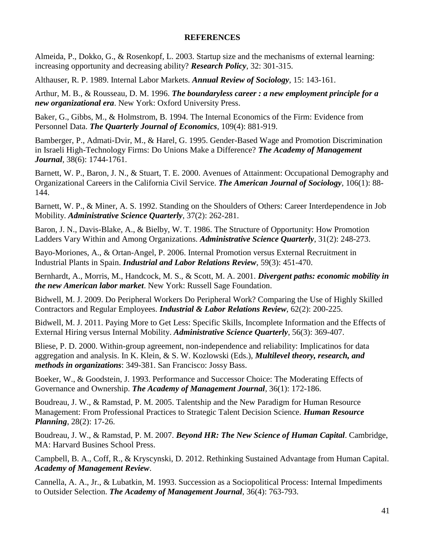## **REFERENCES**

<span id="page-40-12"></span>Almeida, P., Dokko, G., & Rosenkopf, L. 2003. Startup size and the mechanisms of external learning: increasing opportunity and decreasing ability? *Research Policy*, 32: 301-315.

<span id="page-40-9"></span>Althauser, R. P. 1989. Internal Labor Markets. *Annual Review of Sociology*, 15: 143-161.

<span id="page-40-0"></span>Arthur, M. B., & Rousseau, D. M. 1996. *The boundaryless career : a new employment principle for a new organizational era*. New York: Oxford University Press.

<span id="page-40-1"></span>Baker, G., Gibbs, M., & Holmstrom, B. 1994. The Internal Economics of the Firm: Evidence from Personnel Data. *The Quarterly Journal of Economics*, 109(4): 881-919.

<span id="page-40-15"></span>Bamberger, P., Admati-Dvir, M., & Harel, G. 1995. Gender-Based Wage and Promotion Discrimination in Israeli High-Technology Firms: Do Unions Make a Difference? *The Academy of Management Journal*, 38(6): 1744-1761.

<span id="page-40-10"></span>Barnett, W. P., Baron, J. N., & Stuart, T. E. 2000. Avenues of Attainment: Occupational Demography and Organizational Careers in the California Civil Service. *The American Journal of Sociology*, 106(1): 88- 144.

<span id="page-40-16"></span>Barnett, W. P., & Miner, A. S. 1992. Standing on the Shoulders of Others: Career Interdependence in Job Mobility. *Administrative Science Quarterly*, 37(2): 262-281.

<span id="page-40-5"></span>Baron, J. N., Davis-Blake, A., & Bielby, W. T. 1986. The Structure of Opportunity: How Promotion Ladders Vary Within and Among Organizations. *Administrative Science Quarterly*, 31(2): 248-273.

<span id="page-40-3"></span>Bayo-Moriones, A., & Ortan-Angel, P. 2006. Internal Promotion versus External Recruitment in Industrial Plants in Spain. *Industrial and Labor Relations Review*, 59(3): 451-470.

<span id="page-40-14"></span>Bernhardt, A., Morris, M., Handcock, M. S., & Scott, M. A. 2001. *Divergent paths: economic mobility in the new American labor market*. New York: Russell Sage Foundation.

<span id="page-40-6"></span>Bidwell, M. J. 2009. Do Peripheral Workers Do Peripheral Work? Comparing the Use of Highly Skilled Contractors and Regular Employees. *Industrial & Labor Relations Review*, 62(2): 200-225.

<span id="page-40-2"></span>Bidwell, M. J. 2011. Paying More to Get Less: Specific Skills, Incomplete Information and the Effects of External Hiring versus Internal Mobility. *Administrative Science Quarterly*, 56(3): 369-407.

<span id="page-40-8"></span>Bliese, P. D. 2000. Within-group agreement, non-independence and reliability: Implicatinos for data aggregation and analysis. In K. Klein, & S. W. Kozlowski (Eds.), *Multilevel theory, research, and methods in organizations*: 349-381. San Francisco: Jossy Bass.

<span id="page-40-17"></span>Boeker, W., & Goodstein, J. 1993. Performance and Successor Choice: The Moderating Effects of Governance and Ownership. *The Academy of Management Journal*, 36(1): 172-186.

<span id="page-40-11"></span>Boudreau, J. W., & Ramstad, P. M. 2005. Talentship and the New Paradigm for Human Resource Management: From Professional Practices to Strategic Talent Decision Science. *Human Resource Planning*, 28(2): 17-26.

<span id="page-40-7"></span>Boudreau, J. W., & Ramstad, P. M. 2007. *Beyond HR: The New Science of Human Capital*. Cambridge, MA: Harvard Busines School Press.

<span id="page-40-13"></span>Campbell, B. A., Coff, R., & Kryscynski, D. 2012. Rethinking Sustained Advantage from Human Capital. *Academy of Management Review*.

<span id="page-40-4"></span>Cannella, A. A., Jr., & Lubatkin, M. 1993. Succession as a Sociopolitical Process: Internal Impediments to Outsider Selection. *The Academy of Management Journal*, 36(4): 763-793.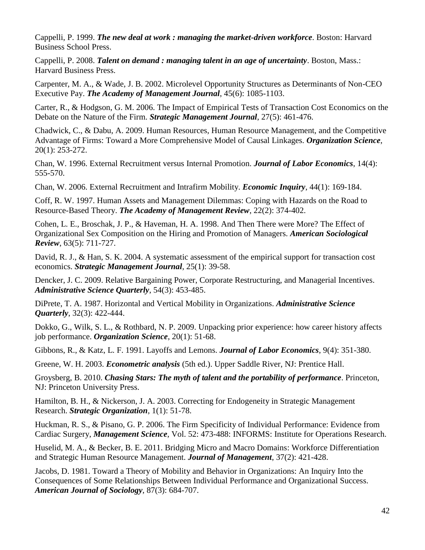<span id="page-41-1"></span>Cappelli, P. 1999. *The new deal at work : managing the market-driven workforce*. Boston: Harvard Business School Press.

<span id="page-41-16"></span>Cappelli, P. 2008. *Talent on demand : managing talent in an age of uncertainty*. Boston, Mass.: Harvard Business Press.

<span id="page-41-19"></span>Carpenter, M. A., & Wade, J. B. 2002. Microlevel Opportunity Structures as Determinants of Non-CEO Executive Pay. *The Academy of Management Journal*, 45(6): 1085-1103.

<span id="page-41-4"></span>Carter, R., & Hodgson, G. M. 2006. The Impact of Empirical Tests of Transaction Cost Economics on the Debate on the Nature of the Firm. *Strategic Management Journal*, 27(5): 461-476.

<span id="page-41-2"></span>Chadwick, C., & Dabu, A. 2009. Human Resources, Human Resource Management, and the Competitive Advantage of Firms: Toward a More Comprehensive Model of Causal Linkages. *Organization Science*, 20(1): 253-272.

<span id="page-41-14"></span>Chan, W. 1996. External Recruitment versus Internal Promotion. *Journal of Labor Economics*, 14(4): 555-570.

<span id="page-41-15"></span>Chan, W. 2006. External Recruitment and Intrafirm Mobility. *Economic Inquiry*, 44(1): 169-184.

<span id="page-41-6"></span>Coff, R. W. 1997. Human Assets and Management Dilemmas: Coping with Hazards on the Road to Resource-Based Theory. *The Academy of Management Review*, 22(2): 374-402.

<span id="page-41-9"></span>Cohen, L. E., Broschak, J. P., & Haveman, H. A. 1998. And Then There were More? The Effect of Organizational Sex Composition on the Hiring and Promotion of Managers. *American Sociological Review*, 63(5): 711-727.

<span id="page-41-12"></span>David, R. J., & Han, S. K. 2004. A systematic assessment of the empirical support for transaction cost economics. *Strategic Management Journal*, 25(1): 39-58.

<span id="page-41-13"></span>Dencker, J. C. 2009. Relative Bargaining Power, Corporate Restructuring, and Managerial Incentives. *Administrative Science Quarterly*, 54(3): 453-485.

<span id="page-41-0"></span>DiPrete, T. A. 1987. Horizontal and Vertical Mobility in Organizations. *Administrative Science Quarterly*, 32(3): 422-444.

<span id="page-41-7"></span>Dokko, G., Wilk, S. L., & Rothbard, N. P. 2009. Unpacking prior experience: how career history affects job performance. *Organization Science*, 20(1): 51-68.

<span id="page-41-10"></span>Gibbons, R., & Katz, L. F. 1991. Layoffs and Lemons. *Journal of Labor Economics*, 9(4): 351-380.

<span id="page-41-18"></span>Greene, W. H. 2003. *Econometric analysis* (5th ed.). Upper Saddle River, NJ: Prentice Hall.

<span id="page-41-5"></span>Groysberg, B. 2010. *Chasing Stars: The myth of talent and the portability of performance*. Princeton, NJ: Princeton University Press.

<span id="page-41-17"></span>Hamilton, B. H., & Nickerson, J. A. 2003. Correcting for Endogeneity in Strategic Management Research. *Strategic Organization*, 1(1): 51-78.

<span id="page-41-8"></span>Huckman, R. S., & Pisano, G. P. 2006. The Firm Specificity of Individual Performance: Evidence from Cardiac Surgery, *Management Science*, Vol. 52: 473-488: INFORMS: Institute for Operations Research.

<span id="page-41-3"></span>Huselid, M. A., & Becker, B. E. 2011. Bridging Micro and Macro Domains: Workforce Differentiation and Strategic Human Resource Management. *Journal of Management*, 37(2): 421-428.

<span id="page-41-11"></span>Jacobs, D. 1981. Toward a Theory of Mobility and Behavior in Organizations: An Inquiry Into the Consequences of Some Relationships Between Individual Performance and Organizational Success. *American Journal of Sociology*, 87(3): 684-707.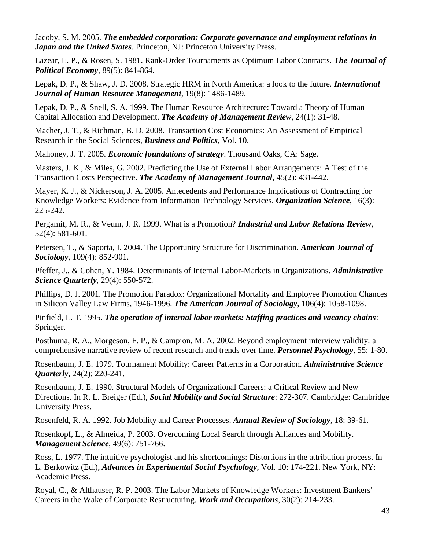<span id="page-42-0"></span>Jacoby, S. M. 2005. *The embedded corporation: Corporate governance and employment relations in Japan and the United States. Princeton, NJ: Princeton University Press.* 

<span id="page-42-10"></span>Lazear, E. P., & Rosen, S. 1981. Rank-Order Tournaments as Optimum Labor Contracts. *The Journal of Political Economy*, 89(5): 841-864.

<span id="page-42-5"></span>Lepak, D. P., & Shaw, J. D. 2008. Strategic HRM in North America: a look to the future. *International Journal of Human Resource Management*, 19(8): 1486-1489.

<span id="page-42-9"></span>Lepak, D. P., & Snell, S. A. 1999. The Human Resource Architecture: Toward a Theory of Human Capital Allocation and Development. *The Academy of Management Review*, 24(1): 31-48.

<span id="page-42-12"></span>Macher, J. T., & Richman, B. D. 2008. Transaction Cost Economics: An Assessment of Empirical Research in the Social Sciences, *Business and Politics*, Vol. 10.

<span id="page-42-6"></span>Mahoney, J. T. 2005. *Economic foundations of strategy*. Thousand Oaks, CA: Sage.

<span id="page-42-7"></span>Masters, J. K., & Miles, G. 2002. Predicting the Use of External Labor Arrangements: A Test of the Transaction Costs Perspective. *The Academy of Management Journal*, 45(2): 431-442.

<span id="page-42-8"></span>Mayer, K. J., & Nickerson, J. A. 2005. Antecedents and Performance Implications of Contracting for Knowledge Workers: Evidence from Information Technology Services. *Organization Science*, 16(3): 225-242.

<span id="page-42-19"></span>Pergamit, M. R., & Veum, J. R. 1999. What is a Promotion? *Industrial and Labor Relations Review*, 52(4): 581-601.

<span id="page-42-2"></span>Petersen, T., & Saporta, I. 2004. The Opportunity Structure for Discrimination. *American Journal of Sociology*, 109(4): 852-901.

<span id="page-42-4"></span>Pfeffer, J., & Cohen, Y. 1984. Determinants of Internal Labor-Markets in Organizations. *Administrative Science Quarterly*, 29(4): 550-572.

<span id="page-42-17"></span>Phillips, D. J. 2001. The Promotion Paradox: Organizational Mortality and Employee Promotion Chances in Silicon Valley Law Firms, 1946-1996. *The American Journal of Sociology*, 106(4): 1058-1098.

<span id="page-42-15"></span>Pinfield, L. T. 1995. *The operation of internal labor markets: Staffing practices and vacancy chains*: Springer.

<span id="page-42-3"></span>Posthuma, R. A., Morgeson, F. P., & Campion, M. A. 2002. Beyond employment interview validity: a comprehensive narrative review of recent research and trends over time. *Personnel Psychology*, 55: 1-80.

<span id="page-42-11"></span>Rosenbaum, J. E. 1979. Tournament Mobility: Career Patterns in a Corporation. *Administrative Science Quarterly*, 24(2): 220-241.

<span id="page-42-14"></span>Rosenbaum, J. E. 1990. Structural Models of Organizational Careers: a Critical Review and New Directions. In R. L. Breiger (Ed.), *Social Mobility and Social Structure*: 272-307. Cambridge: Cambridge University Press.

<span id="page-42-13"></span>Rosenfeld, R. A. 1992. Job Mobility and Career Processes. *Annual Review of Sociology*, 18: 39-61.

<span id="page-42-16"></span>Rosenkopf, L., & Almeida, P. 2003. Overcoming Local Search through Alliances and Mobility. *Management Science*, 49(6): 751-766.

<span id="page-42-18"></span>Ross, L. 1977. The intuitive psychologist and his shortcomings: Distortions in the attribution process. In L. Berkowitz (Ed.), *Advances in Experimental Social Psychology*, Vol. 10: 174-221. New York, NY: Academic Press.

<span id="page-42-1"></span>Royal, C., & Althauser, R. P. 2003. The Labor Markets of Knowledge Workers: Investment Bankers' Careers in the Wake of Corporate Restructuring. *Work and Occupations*, 30(2): 214-233.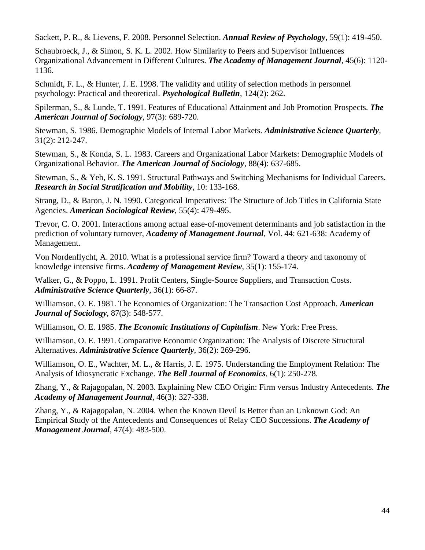<span id="page-43-10"></span>Sackett, P. R., & Lievens, F. 2008. Personnel Selection. *Annual Review of Psychology*, 59(1): 419-450.

<span id="page-43-14"></span>Schaubroeck, J., & Simon, S. K. L. 2002. How Similarity to Peers and Supervisor Influences Organizational Advancement in Different Cultures. *The Academy of Management Journal*, 45(6): 1120- 1136.

<span id="page-43-3"></span>Schmidt, F. L., & Hunter, J. E. 1998. The validity and utility of selection methods in personnel psychology: Practical and theoretical. *Psychological Bulletin*, 124(2): 262.

<span id="page-43-8"></span>Spilerman, S., & Lunde, T. 1991. Features of Educational Attainment and Job Promotion Prospects. *The American Journal of Sociology*, 97(3): 689-720.

<span id="page-43-2"></span>Stewman, S. 1986. Demographic Models of Internal Labor Markets. *Administrative Science Quarterly*, 31(2): 212-247.

<span id="page-43-0"></span>Stewman, S., & Konda, S. L. 1983. Careers and Organizational Labor Markets: Demographic Models of Organizational Behavior. *The American Journal of Sociology*, 88(4): 637-685.

<span id="page-43-1"></span>Stewman, S., & Yeh, K. S. 1991. Structural Pathways and Switching Mechanisms for Individual Careers. *Research in Social Stratification and Mobility*, 10: 133-168.

<span id="page-43-13"></span>Strang, D., & Baron, J. N. 1990. Categorical Imperatives: The Structure of Job Titles in California State Agencies. *American Sociological Review*, 55(4): 479-495.

<span id="page-43-12"></span>Trevor, C. O. 2001. Interactions among actual ease-of-movement determinants and job satisfaction in the prediction of voluntary turnover, *Academy of Management Journal*, Vol. 44: 621-638: Academy of Management.

<span id="page-43-11"></span>Von Nordenflycht, A. 2010. What is a professional service firm? Toward a theory and taxonomy of knowledge intensive firms. *Academy of Management Review*, 35(1): 155-174.

<span id="page-43-15"></span>Walker, G., & Poppo, L. 1991. Profit Centers, Single-Source Suppliers, and Transaction Costs. *Administrative Science Quarterly*, 36(1): 66-87.

<span id="page-43-9"></span>Williamson, O. E. 1981. The Economics of Organization: The Transaction Cost Approach. *American Journal of Sociology*, 87(3): 548-577.

<span id="page-43-6"></span>Williamson, O. E. 1985. *The Economic Institutions of Capitalism*. New York: Free Press.

<span id="page-43-7"></span>Williamson, O. E. 1991. Comparative Economic Organization: The Analysis of Discrete Structural Alternatives. *Administrative Science Quarterly*, 36(2): 269-296.

<span id="page-43-5"></span>Williamson, O. E., Wachter, M. L., & Harris, J. E. 1975. Understanding the Employment Relation: The Analysis of Idiosyncratic Exchange. *The Bell Journal of Economics*, 6(1): 250-278.

<span id="page-43-4"></span>Zhang, Y., & Rajagopalan, N. 2003. Explaining New CEO Origin: Firm versus Industry Antecedents. *The Academy of Management Journal*, 46(3): 327-338.

<span id="page-43-16"></span>Zhang, Y., & Rajagopalan, N. 2004. When the Known Devil Is Better than an Unknown God: An Empirical Study of the Antecedents and Consequences of Relay CEO Successions. *The Academy of Management Journal*, 47(4): 483-500.